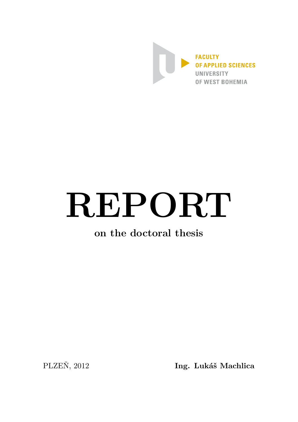

# REPORT

## on the doctoral thesis

PLZEŇ, 2012

Ing. Lukáš Machlica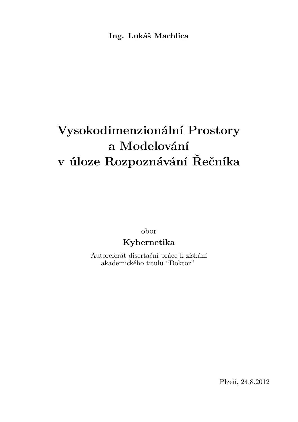**Ing. Lukáš Machlica**

# **Vysokodimenzionální Prostory a Modelování v úloze Rozpoznávání Řečníka**

obor

### **Kybernetika**

Autoreferát disertační práce k získání akademického titulu "Doktor"

Plzeň, 24.8.2012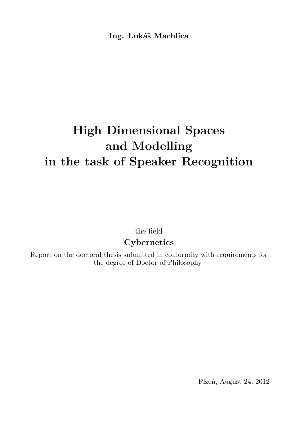**Ing. Lukáš Machlica**

# **High Dimensional Spaces and Modelling in the task of Speaker Recognition**

the field

## **Cybernetics**

Report on the doctoral thesis submitted in conformity with requirements for the degree of Doctor of Philosophy

Plzeň, August 24, 2012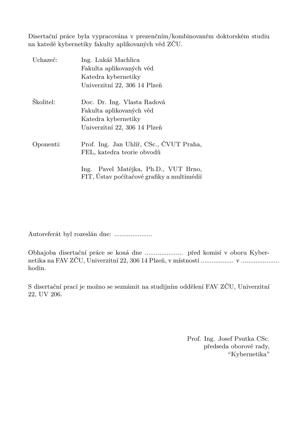Disertační práce byla vypracována v prezenčním/kombinovanŕm doktorském studiu na katedě kybernetiky fakulty aplikovaných věd ZČU.

| Uchazeč:  | Ing. Lukáš Machlica                                                                   |
|-----------|---------------------------------------------------------------------------------------|
|           | Fakulta aplikovaných věd                                                              |
|           | Katedra kybernetiky                                                                   |
|           | Univerzitní 22, 306 14 Plzeň                                                          |
| Školitel: | Doc. Dr. Ing. Vlasta Radová                                                           |
|           | Fakulta aplikovaných věd                                                              |
|           | Katedra kybernetiky                                                                   |
|           | Univerzitní 22, 306 14 Plzeň                                                          |
| Oponenti: | Prof. Ing. Jan Uhlíř, CSc., ČVUT Praha,<br>FEL, katedra teorie obvodů                 |
|           | Pavel Matějka, Ph.D., VUT Brno,<br>lng.<br>FIT, Ústav počítačové grafiky a multimédií |

Autoreferát byl rozeslán dne: .....................

Obhajoba disertační práce se koná dne ..................... před komisí v oboru Kybernetika na FAV ZČU, Univerzitní 22, 306 14 Plzeň, v místnosti .................. v ..................... hodin.

S disertační prací je možno se seznámit na studijním oddělení FAV ZČU, Univerzitní 22, UV 206.

> Prof. Ing. Josef Psutka CSc. předseda oborové rady, "Kybernetika"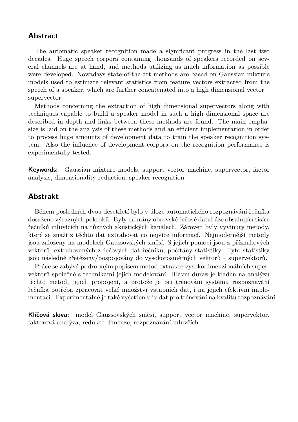#### **Abstract**

The automatic speaker recognition made a significant progress in the last two decades. Huge speech corpora containing thousands of speakers recorded on several channels are at hand, and methods utilizing as much information as possible were developed. Nowadays state-of-the-art methods are based on Gaussian mixture models used to estimate relevant statistics from feature vectors extracted from the speech of a speaker, which are further concatenated into a high dimensional vector – supervector.

Methods concerning the extraction of high dimensional supervectors along with techniques capable to build a speaker model in such a high dimensional space are described in depth and links between these methods are found. The main emphasize is laid on the analysis of these methods and an efficient implementation in order to process huge amounts of development data to train the speaker recognition system. Also the influence of development corpora on the recognition performance is experimentally tested.

**Keywords:** Gaussian mixture models, support vector machine, supervector, factor analysis, dimensionality reduction, speaker recognition

#### **Abstrakt**

Během posledních dvou desetiletí bylo v úloze automatického rozpoznávání řečníka dosaženo výrazných pokroků. Byly nahrány obrovské řečové databáze obsahující tisíce řečníků mluvících na různých akustických kanálech. Zároveň byly vyvinuty metody, které se snaží z těchto dat extrahovat co nejvíce informací. Nejmodernější metody jsou založeny na modelech Gaussovských směsí. S jejich pomocí jsou z příznakových vektorů, extrahovaných z řečových dat řečníků, počítány statistiky. Tyto statistiky jsou následně zřetězeny/pospojovány do vysokorozměrných vektorů – supervektorů.

Práce se zabývá podrobným popisem metod extrakce vysokodimenzionálních supervektorů společně s technikami jejich modelování. Hlavní důraz je kladen na analýzu těchto metod, jejich propojení, a protože je při trénování systému rozpoznávání řečníka potřeba zpracovat velké množství vstupních dat, i na jejich efektivní implementaci. Experimentálně je také vyšetřen vliv dat pro trénování na kvalitu rozpoznávání.

**Klíčová slova:** model Gaussovských směsí, support vector machine, supervektor, faktorová analýza, redukce dimenze, rozpoznávání mluvčích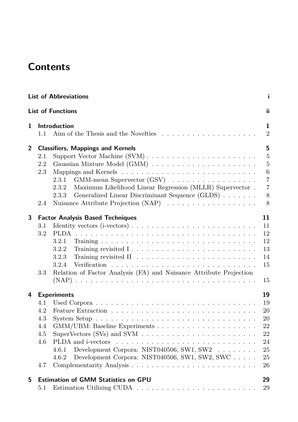## **Contents**

|                |     | <b>List of Abbreviations</b>                                                               | i                                |
|----------------|-----|--------------------------------------------------------------------------------------------|----------------------------------|
|                |     | <b>List of Functions</b>                                                                   | ii                               |
| 1              | 1.1 | <b>Introduction</b>                                                                        | $\mathbf{1}$<br>$\boldsymbol{2}$ |
| $\overline{2}$ |     | <b>Classifiers, Mappings and Kernels</b>                                                   | 5                                |
|                | 2.1 |                                                                                            | $\bf 5$                          |
|                | 2.2 |                                                                                            | $\overline{5}$                   |
|                | 2.3 |                                                                                            | $\boldsymbol{6}$                 |
|                |     | 2.3.1<br>$GMM$ -mean Supervector $(GSV)$                                                   | $\overline{7}$                   |
|                |     | 2.3.2<br>Maximum Likelihood Linear Regression (MLLR) Supervector.                          | $\overline{7}$                   |
|                |     | Generalized Linear Discriminant Sequence (GLDS)<br>2.3.3                                   | 8                                |
|                | 2.4 | Nuisance Attribute Projection (NAP) $\ldots \ldots \ldots \ldots \ldots$                   | 8                                |
| 3              |     | <b>Factor Analysis Based Techniques</b>                                                    | 11                               |
|                | 3.1 | Identity vectors $(i$ -vectors $) \ldots \ldots \ldots \ldots \ldots \ldots \ldots \ldots$ | 11                               |
|                | 3.2 |                                                                                            | 12                               |
|                |     | 3.2.1                                                                                      | 12                               |
|                |     | 3.2.2<br>Training revisited $1 \ldots \ldots \ldots \ldots \ldots \ldots \ldots$           | 13                               |
|                |     | 3.2.3                                                                                      | 14                               |
|                |     | 3.2.4                                                                                      | 15                               |
|                | 3.3 | Relation of Factor Analysis (FA) and Nuisance Attribute Projection                         | 15                               |
| 4              |     | <b>Experiments</b>                                                                         | 19                               |
|                | 4.1 |                                                                                            | 19                               |
|                | 4.2 |                                                                                            | 20                               |
|                | 4.3 |                                                                                            | 20                               |
|                | 4.4 |                                                                                            | 22                               |
|                | 4.5 | SuperVectors (SVs) and SVM $\ldots \ldots \ldots \ldots \ldots \ldots \ldots \ldots$       | 22                               |
|                | 4.6 |                                                                                            | 24                               |
|                |     | Development Corpora: NIST040506, SW1, SW2<br>4.6.1                                         | 25                               |
|                |     | Development Corpora: NIST040506, SW1, SW2, SWC<br>4.6.2                                    | 25                               |
|                | 4.7 |                                                                                            | 26                               |
| 5              |     | <b>Estimation of GMM Statistics on GPU</b>                                                 | 29                               |
|                | 5.1 |                                                                                            | 29                               |
|                |     |                                                                                            |                                  |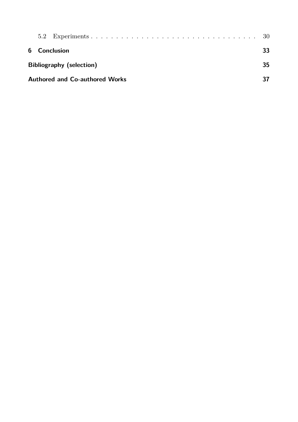| 6 Conclusion                          |  |  |  |  |  |  | 33. |
|---------------------------------------|--|--|--|--|--|--|-----|
| <b>Bibliography (selection)</b>       |  |  |  |  |  |  | 35  |
| <b>Authored and Co-authored Works</b> |  |  |  |  |  |  |     |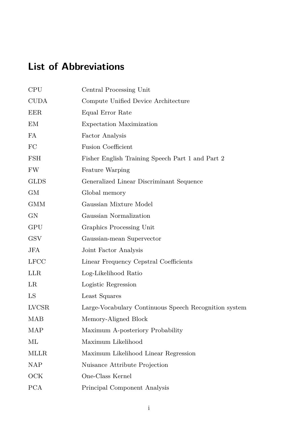# <span id="page-12-0"></span>**List of Abbreviations**

| <b>CPU</b>  | Central Processing Unit                               |
|-------------|-------------------------------------------------------|
| <b>CUDA</b> | Compute Unified Device Architecture                   |
| EER.        | Equal Error Rate                                      |
| ΕM          | Expectation Maximization                              |
| FA          | Factor Analysis                                       |
| FC          | <b>Fusion Coefficient</b>                             |
| <b>FSH</b>  | Fisher English Training Speech Part 1 and Part 2      |
| FW.         | Feature Warping                                       |
| GLDS        | Generalized Linear Discriminant Sequence              |
| GМ          | Global memory                                         |
| GMM         | Gaussian Mixture Model                                |
| GN          | Gaussian Normalization                                |
| GPU         | Graphics Processing Unit                              |
| <b>GSV</b>  | Gaussian-mean Supervector                             |
| JFA         | Joint Factor Analysis                                 |
| <b>LFCC</b> | Linear Frequency Cepstral Coefficients                |
| <b>LLR</b>  | Log-Likelihood Ratio                                  |
| LR.         | Logistic Regression                                   |
| LS          | Least Squares                                         |
| LVCSR       | Large-Vocabulary Continuous Speech Recognition system |
| MAB         | Memory-Aligned Block                                  |
| MAP         | Maximum A-posteriory Probability                      |
| МL          | Maximum Likelihood                                    |
| MLLR.       | Maximum Likelihood Linear Regression                  |
| NAP         | Nuisance Attribute Projection                         |
| OCK         | One-Class Kernel                                      |
| <b>PCA</b>  | Principal Component Analysis                          |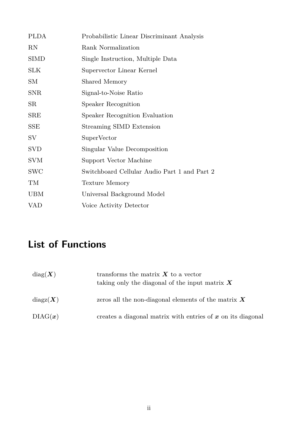| <b>PLDA</b>  | Probabilistic Linear Discriminant Analysis   |
|--------------|----------------------------------------------|
| RN           | Rank Normalization                           |
| <b>SIMD</b>  | Single Instruction, Multiple Data            |
| SLK          | Supervector Linear Kernel                    |
| SМ           | Shared Memory                                |
| <b>SNR</b>   | Signal-to-Noise Ratio                        |
| SR           | Speaker Recognition                          |
| SRE          | Speaker Recognition Evaluation               |
| $_{\rm SSE}$ | Streaming SIMD Extension                     |
| SV           | SuperVector                                  |
| <b>SVD</b>   | Singular Value Decomposition                 |
| <b>SVM</b>   | Support Vector Machine                       |
| SWC          | Switchboard Cellular Audio Part 1 and Part 2 |
| TM           | Texture Memory                               |
| UBM          | Universal Background Model                   |
| <b>VAD</b>   | Voice Activity Detector                      |
|              |                                              |

## <span id="page-13-0"></span>**List of Functions**

| diag(X)                          | transforms the matrix $X$ to a vector<br>taking only the diagonal of the input matrix $X$ |
|----------------------------------|-------------------------------------------------------------------------------------------|
| $\mathrm{diagz}(\boldsymbol{X})$ | zeros all the non-diagonal elements of the matrix $X$                                     |
| DIAG(x)                          | creates a diagonal matrix with entries of $x$ on its diagonal                             |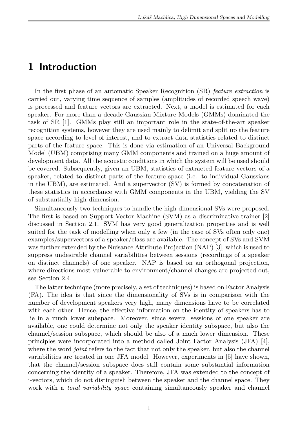## <span id="page-14-0"></span>**1 Introduction**

In the first phase of an automatic Speaker Recognition (SR) *feature extraction* is carried out, varying time sequence of samples (amplitudes of recorded speech wave) is processed and feature vectors are extracted. Next, a model is estimated for each speaker. For more than a decade Gaussian Mixture Models (GMMs) dominated the task of SR [\[1\]](#page-48-1). GMMs play still an important role in the state-of-the-art speaker recognition systems, however they are used mainly to delimit and split up the feature space according to level of interest, and to extract data statistics related to distinct parts of the feature space. This is done via estimation of an Universal Background Model (UBM) comprising many GMM components and trained on a huge amount of development data. All the acoustic conditions in which the system will be used should be covered. Subsequently, given an UBM, statistics of extracted feature vectors of a speaker, related to distinct parts of the feature space (i.e. to individual Gaussians in the UBM), are estimated. And a supervector (SV) is formed by concatenation of these statistics in accordance with GMM components in the UBM, yielding the SV of substantially high dimension.

Simultaneously two techniques to handle the high dimensional SVs were proposed. The first is based on Support Vector Machine (SVM) as a discriminative trainer [\[2\]](#page-48-2) discussed in Section [2.1.](#page-18-1) SVM has very good generalization properties and is well suited for the task of modelling when only a few (in the case of SVs often only one) examples/supervectors of a speaker/class are available. The concept of SVs and SVM was further extended by the Nuisance Attribute Projection (NAP) [\[3\]](#page-48-3), which is used to suppress undesirable channel variabilities between sessions (recordings of a speaker on distinct channels) of one speaker. NAP is based on an orthogonal projection, where directions most vulnerable to environment/channel changes are projected out, see Section [2.4.](#page-21-1)

The latter technique (more precisely, a set of techniques) is based on Factor Analysis (FA). The idea is that since the dimensionality of SVs is in comparison with the number of development speakers very high, many dimensions have to be correlated with each other. Hence, the effective information on the identity of speakers has to lie in a much lower subspace. Moreover, since several sessions of one speaker are available, one could determine not only the speaker identity subspace, but also the channel/session subspace, which should be also of a much lower dimension. These principles were incorporated into a method called Joint Factor Analysis (JFA) [\[4\]](#page-48-4), where the word *joint* refers to the fact that not only the speaker, but also the channel variabilities are treated in one JFA model. However, experiments in [\[5\]](#page-48-5) have shown, that the channel/session subspace does still contain some substantial information concerning the identity of a speaker. Therefore, JFA was extended to the concept of i-vectors, which do not distinguish between the speaker and the channel space. They work with a *total variability space* containing simultaneously speaker and channel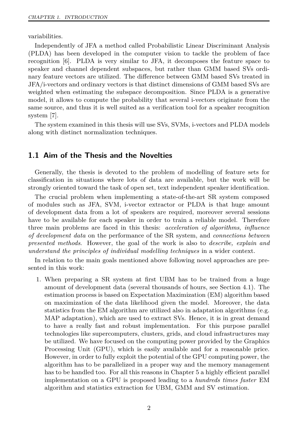variabilities.

Independently of JFA a method called Probabilistic Linear Discriminant Analysis (PLDA) has been developed in the computer vision to tackle the problem of face recognition [\[6\]](#page-48-6). PLDA is very similar to JFA, it decomposes the feature space to speaker and channel dependent subspaces, but rather than GMM based SVs ordinary feature vectors are utilized. The difference between GMM based SVs treated in JFA/i-vectors and ordinary vectors is that distinct dimensions of GMM based SVs are weighted when estimating the subspace decomposition. Since PLDA is a generative model, it allows to compute the probability that several i-vectors originate from the same source, and thus it is well suited as a verification tool for a speaker recognition system [\[7\]](#page-48-7).

The system examined in this thesis will use SVs, SVMs, i-vectors and PLDA models along with distinct normalization techniques.

#### <span id="page-15-0"></span>**1.1 Aim of the Thesis and the Novelties**

Generally, the thesis is devoted to the problem of modelling of feature sets for classification in situations where lots of data are available, but the work will be strongly oriented toward the task of open set, text independent speaker identification.

The crucial problem when implementing a state-of-the-art SR system composed of modules such as JFA, SVM, i-vector extractor or PLDA is that huge amount of development data from a lot of speakers are required, moreover several sessions have to be available for each speaker in order to train a reliable model. Therefore three main problems are faced in this thesis: *acceleration of algorithms*, *influence of development data* on the performance of the SR system, and *connections between presented methods*. However, the goal of the work is also to *describe, explain and understand the principles of individual modelling techniques* in a wider context.

In relation to the main goals mentioned above following novel approaches are presented in this work:

1. When preparing a SR system at first UBM has to be trained from a huge amount of development data (several thousands of hours, see Section [4.1\)](#page-32-1). The estimation process is based on Expectation Maximization (EM) algorithm based on maximization of the data likelihood given the model. Moreover, the data statistics from the EM algorithm are utilized also in adaptation algorithms (e.g. MAP adaptation), which are used to extract SVs. Hence, it is in great demand to have a really fast and robust implementation. For this purpose parallel technologies like supercomputers, clusters, grids, and cloud infrastructures may be utilized. We have focused on the computing power provided by the Graphics Processing Unit (GPU), which is easily available and for a reasonable price. However, in order to fully exploit the potential of the GPU computing power, the algorithm has to be parallelized in a proper way and the memory management has to be handled too. For all this reasons in Chapter [5](#page-42-0) a highly efficient parallel implementation on a GPU is proposed leading to a *hundreds times faster* EM algorithm and statistics extraction for UBM, GMM and SV estimation.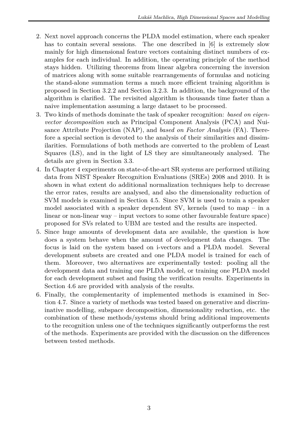- 2. Next novel approach concerns the PLDA model estimation, where each speaker has to contain several sessions. The one described in [\[6\]](#page-48-6) is extremely slow mainly for high dimensional feature vectors containing distinct numbers of examples for each individual. In addition, the operating principle of the method stays hidden. Utilizing theorems from linear algebra concerning the inversion of matrices along with some suitable rearrangements of formulas and noticing the stand-alone summation terms a much more efficient training algorithm is proposed in Section [3.2.2](#page-26-0) and Section [3.2.3.](#page-27-0) In addition, the background of the algorithm is clarified. The revisited algorithm is thousands time faster than a naive implementation assuming a large dataset to be processed.
- 3. Two kinds of methods dominate the task of speaker recognition: *based on eigenvector decomposition* such as Principal Component Analysis (PCA) and Nuisance Attribute Projection (NAP), and *based on Factor Analysis* (FA). Therefore a special section is devoted to the analysis of their similarities and dissimilarities. Formulations of both methods are converted to the problem of Least Squares (LS), and in the light of LS they are simultaneously analysed. The details are given in Section [3.3.](#page-28-1)
- 4. In Chapter [4](#page-32-0) experiments on state-of-the-art SR systems are performed utilizing data from NIST Speaker Recognition Evaluations (SREs) 2008 and 2010. It is shown in what extent do additional normalization techniques help to decrease the error rates, results are analysed, and also the dimensionality reduction of SVM models is examined in Section [4.5.](#page-35-1) Since SVM is used to train a speaker model associated with a speaker dependent SV, kernels (used to map – in a linear or non-linear way – input vectors to some other favourable feature space) proposed for SVs related to UBM are tested and the results are inspected.
- 5. Since huge amounts of development data are available, the question is how does a system behave when the amount of development data changes. The focus is laid on the system based on i-vectors and a PLDA model. Several development subsets are created and one PLDA model is trained for each of them. Moreover, two alternatives are experimentally tested: pooling all the development data and training one PLDA model, or training one PLDA model for each development subset and fusing the verification results. Experiments in Section [4.6](#page-37-0) are provided with analysis of the results.
- 6. Finally, the complementarity of implemented methods is examined in Section [4.7.](#page-39-0) Since a variety of methods was tested based on generative and discriminative modelling, subspace decomposition, dimensionality reduction, etc. the combination of these methods/systems should bring additional improvements to the recognition unless one of the techniques significantly outperforms the rest of the methods. Experiments are provided with the discussion on the differences between tested methods.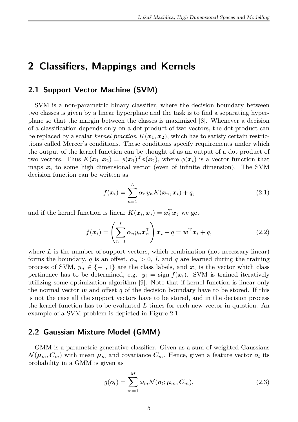## <span id="page-18-0"></span>**2 Classifiers, Mappings and Kernels**

#### <span id="page-18-1"></span>**2.1 Support Vector Machine (SVM)**

SVM is a non-parametric binary classifier, where the decision boundary between two classes is given by a linear hyperplane and the task is to find a separating hyperplane so that the margin between the classes is maximized [\[8\]](#page-48-8). Whenever a decision of a classification depends only on a dot product of two vectors, the dot product can be replaced by a scalar *kernel function*  $K(\mathbf{x}_1, \mathbf{x}_2)$ , which has to satisfy certain restrictions called Mercer's conditions. These conditions specify requirements under which the output of the kernel function can be thought of as an output of a dot product of two vectors. Thus  $K(\boldsymbol{x}_1, \boldsymbol{x}_2) = \phi(\boldsymbol{x}_1)^T \phi(\boldsymbol{x}_2)$ , where  $\phi(\boldsymbol{x}_i)$  is a vector function that maps  $x_i$  to some high dimensional vector (even of infinite dimension). The SVM decision function can be written as

$$
f(\boldsymbol{x}_i) = \sum_{n=1}^{L} \alpha_n y_n K(\boldsymbol{x}_n, \boldsymbol{x}_i) + q,
$$
\n(2.1)

and if the kernel function is linear  $K(\boldsymbol{x}_i, \boldsymbol{x}_j) = \boldsymbol{x}_i^{\mathrm{T}} \boldsymbol{x}_j$  we get

$$
f(\boldsymbol{x}_i) = \left(\sum_{n=1}^L \alpha_n y_n \boldsymbol{x}_n^{\mathrm{T}}\right) \boldsymbol{x}_i + q = \boldsymbol{w}^{\mathrm{T}} \boldsymbol{x}_i + q, \qquad (2.2)
$$

where *L* is the number of support vectors, which combination (not necessary linear) forms the boundary, *q* is an offset,  $\alpha_n > 0$ , *L* and *q* are learned during the training process of SVM,  $y_n \in \{-1, 1\}$  are the class labels, and  $x_i$  is the vector which class pertinence has to be determined, e.g.  $y_i = \text{sign } f(x_i)$ . SVM is trained iteratively utilizing some optimization algorithm [\[9\]](#page-48-9). Note that if kernel function is linear only the normal vector  $w$  and offset  $q$  of the decision boundary have to be stored. If this is not the case all the support vectors have to be stored, and in the decision process the kernel function has to be evaluated *L* times for each new vector in question. An example of a SVM problem is depicted in Figure [2.1.](#page-19-1)

#### <span id="page-18-2"></span>**2.2 Gaussian Mixture Model (GMM)**

GMM is a parametric generative classifier. Given as a sum of weighted Gaussians  $\mathcal{N}(\mu_m, C_m)$  with mean  $\mu_m$  and covariance  $C_m$ . Hence, given a feature vector  $o_t$  its probability in a GMM is given as

$$
g(\boldsymbol{o}_t) = \sum_{m=1}^{M} \omega_m \mathcal{N}(\boldsymbol{o}_t; \boldsymbol{\mu}_m, \boldsymbol{C}_m),
$$
\n(2.3)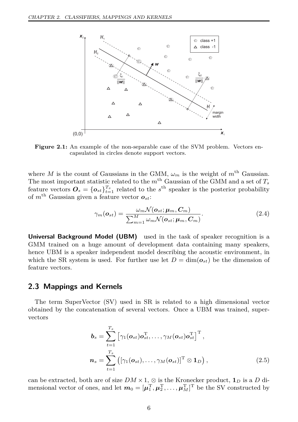<span id="page-19-1"></span>

**Figure 2.1:** An example of the non-separable case of the SVM problem. Vectors encapsulated in circles denote support vectors.

where *M* is the count of Gaussians in the GMM,  $\omega_m$  is the weight of  $m^{\text{th}}$  Gaussian. The most important statistic related to the  $m<sup>th</sup>$  Gaussian of the GMM and a set of  $T_s$ feature vectors  $\mathbf{O}_s = \{\mathbf{o}_{st}\}_{t=1}^{T_s}$  related to the  $s^{\text{th}}$  speaker is the posterior probability of  $m^{\text{th}}$  Gaussian given a feature vector  $o_{st}$ :

$$
\gamma_m(\mathbf{o}_{st}) = \frac{\omega_m \mathcal{N}(\mathbf{o}_{st}; \boldsymbol{\mu}_m, \boldsymbol{C}_m)}{\sum_{m=1}^M \omega_m \mathcal{N}(\mathbf{o}_{st}; \boldsymbol{\mu}_m, \boldsymbol{C}_m)}.
$$
(2.4)

**Universal Background Model (UBM)** used in the task of speaker recognition is a GMM trained on a huge amount of development data containing many speakers, hence UBM is a speaker independent model describing the acoustic environment, in which the SR system is used. For further use let  $D = \dim(o_{st})$  be the dimension of feature vectors.

#### <span id="page-19-0"></span>**2.3 Mappings and Kernels**

The term SuperVector (SV) used in SR is related to a high dimensional vector obtained by the concatenation of several vectors. Once a UBM was trained, supervectors

<span id="page-19-2"></span>
$$
\boldsymbol{b}_{s} = \sum_{t=1}^{T_{s}} \left[ \gamma_{1}(\boldsymbol{o}_{st}) \boldsymbol{o}_{st}^{\mathrm{T}}, \dots, \gamma_{M}(\boldsymbol{o}_{st}) \boldsymbol{o}_{st}^{\mathrm{T}} \right]^{\mathrm{T}},
$$

$$
\boldsymbol{n}_{s} = \sum_{t=1}^{T_{s}} \left( \left[ \gamma_{1}(\boldsymbol{o}_{st}), \dots, \gamma_{M}(\boldsymbol{o}_{st}) \right]^{\mathrm{T}} \otimes \mathbf{1}_{D} \right),
$$
(2.5)

can be extracted, both are of size *DM* ×1, ⊗ is the Kronecker product, **1***<sup>D</sup>* is a *D* dimensional vector of ones, and let  $m_0 = [\mu_1^{\mathrm{T}}, \mu_2^{\mathrm{T}}, \dots, \mu_M^{\mathrm{T}}]^{\mathrm{T}}$  be the SV constructed by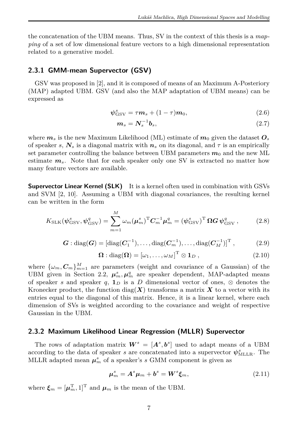the concatenation of the UBM means. Thus, SV in the context of this thesis is a *mapping* of a set of low dimensional feature vectors to a high dimensional representation related to a generative model.

#### <span id="page-20-0"></span>**2.3.1 GMM-mean Supervector (GSV)**

GSV was proposed in [\[2\]](#page-48-2), and it is composed of means of an Maximum A-Posteriory (MAP) adapted UBM. GSV (and also the MAP adaptation of UBM means) can be expressed as

$$
\psi_{\rm GSV}^s = \tau \mathbf{m}_s + (1 - \tau) \mathbf{m}_0, \tag{2.6}
$$

<span id="page-20-4"></span>
$$
m_s = N_s^{-1} b_s, \qquad (2.7)
$$

where  $m_s$  is the new Maximum Likelihood (ML) estimate of  $m_0$  given the dataset  $O_s$ of speaker *s*,  $N_s$  is a diagonal matrix with  $n_s$  on its diagonal, and  $\tau$  is an empirically set parameter controlling the balance between UBM parameters  $m_0$  and the new ML estimate *ms*. Note that for each speaker only one SV is extracted no matter how many feature vectors are available.

**Supervector Linear Kernel (SLK)** It is a kernel often used in combination with GSVs and SVM [\[2,](#page-48-2) [10\]](#page-48-10). Assuming a UBM with diagonal covariances, the resulting kernel can be written in the form

<span id="page-20-2"></span>
$$
K_{\text{SLK}}(\psi_{\text{GSV}}^s, \psi_{\text{GSV}}^q) = \sum_{m=1}^M \omega_m (\mu_m^s)^{\text{T}} C_m^{-1} \mu_m^q = (\psi_{\text{GSV}}^s)^{\text{T}} \Omega G \psi_{\text{GSV}}^q,
$$
 (2.8)

$$
G: diag(G) = [diag(C_1^{-1}), \dots, diag(C_m^{-1}), \dots, diag(C_M^{-1})]^T, \qquad (2.9)
$$

$$
\mathbf{\Omega} : \text{diag}(\mathbf{\Omega}) = [\omega_1, \dots, \omega_M]^{\text{T}} \otimes \mathbf{1}_D , \qquad (2.10)
$$

where  $\{\omega_m, C_m\}_{m=1}^M$  are parameters (weight and covariance of a Gaussian) of the UBM given in Section [2.2,](#page-18-2)  $\mu_m^s, \mu_m^q$  are speaker dependent, MAP-adapted means of speaker *s* and speaker *q*, **1***D* is a *D* dimensional vector of ones,  $\otimes$  denotes the Kronecker product, the function diag( $\bf{X}$ ) transforms a matrix  $\bf{X}$  to a vector with its entries equal to the diagonal of this matrix. Hence, it is a linear kernel, where each dimension of SVs is weighted according to the covariance and weight of respective Gaussian in the UBM.

#### <span id="page-20-1"></span>**2.3.2 Maximum Likelihood Linear Regression (MLLR) Supervector**

The rows of adaptation matrix  $W^s = [A^s, b^s]$  used to adapt means of a UBM according to the data of speaker *s* are concatenated into a supervector  $\psi_{\mathrm{MLLR}}^s$ . The MLLR adapted mean  $\mu_m^s$  of a speaker's *s* GMM component is given as

<span id="page-20-3"></span>
$$
\mu_m^s = A^s \mu_m + b^s = W^s \xi_m, \qquad (2.11)
$$

where  $\xi_m = [\mu_m^{\mathrm{T}}, 1]^{\mathrm{T}}$  and  $\mu_m$  is the mean of the UBM.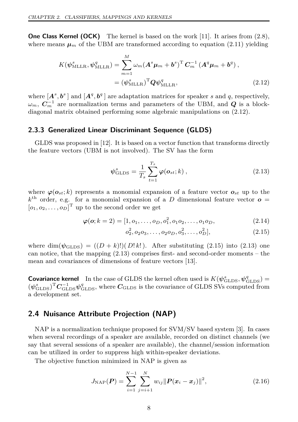**One Class Kernel (OCK)** The kernel is based on the work [\[11\]](#page-48-11). It arises from [\(2.8\)](#page-20-2), where means  $\mu_m$  of the UBM are transformed according to equation [\(2.11\)](#page-20-3) yielding

$$
K(\psi_{\text{MLLR}}^s, \psi_{\text{MLLR}}^q) = \sum_{m=1}^M \omega_m (\mathbf{A}^s \boldsymbol{\mu}_m + \boldsymbol{b}^s)^{\text{T}} \mathbf{C}_m^{-1} (\mathbf{A}^q \boldsymbol{\mu}_m + \boldsymbol{b}^q) ,
$$
  
=  $(\psi_{\text{MLLR}}^s)^{\text{T}} \mathbf{Q} \psi_{\text{MLLR}}^q, \tag{2.12}$ 

where  $[A^s, b^s]$  and  $[A^q, b^q]$  are adaptation matrices for speaker *s* and *q*, respectively,  $\omega_m$ ,  $C_m^{-1}$  are normalization terms and parameters of the UBM, and *Q* is a blockdiagonal matrix obtained performing some algebraic manipulations on [\(2.12\)](#page-21-2).

#### <span id="page-21-0"></span>**2.3.3 Generalized Linear Discriminant Sequence (GLDS)**

GLDS was proposed in [\[12\]](#page-48-12). It is based on a vector function that transforms directly the feature vectors (UBM is not involved). The SV has the form

<span id="page-21-4"></span><span id="page-21-2"></span>
$$
\psi_{\text{GLDS}}^s = \frac{1}{T_s} \sum_{t=1}^{T_s} \varphi(o_{st}; k) , \qquad (2.13)
$$

where  $\varphi(\mathbf{o}_{st}; k)$  represents a monomial expansion of a feature vector  $\mathbf{o}_{st}$  up to the  $k^{\text{th}}$  order, e.g. for a monomial expansion of a *D* dimensional feature vector  $o =$  $[o_1, o_2, \ldots, o_D]^{\mathrm{T}}$  up to the second order we get

$$
\boldsymbol{\varphi}(\boldsymbol{o}; k=2) = [1, o_1, \dots, o_D, o_1^2, o_1 o_2, \dots, o_1 o_D,\tag{2.14}
$$

<span id="page-21-3"></span>
$$
o_2^2, o_2 o_3, \dots, o_2 o_D, o_3^2, \dots, o_D^2], \tag{2.15}
$$

where dim( $\psi$ <sub>GLDS</sub>) =  $((D + k)!)$ ( $D!k!$ ). After substituting [\(2.15\)](#page-21-3) into [\(2.13\)](#page-21-4) one can notice, that the mapping  $(2.13)$  comprises first- and second-order moments – the mean and covariances of dimensions of feature vectors [\[13\]](#page-48-13).

**Covariance kernel** In the case of GLDS the kernel often used is  $K(\psi_{\text{GLDS}}^s, \psi_{\text{GLDS}}^q)$  =  $(\psi_{\text{GLDS}}^s)^{\text{T}} C_{\text{GLDS}}^{-1} \psi_{\text{GLDS}}^q$ , where  $C_{\text{GLDS}}$  is the covariance of GLDS SVs computed from a development set.

#### <span id="page-21-1"></span>**2.4 Nuisance Attribute Projection (NAP)**

NAP is a normalization technique proposed for SVM/SV based system [\[3\]](#page-48-3). In cases when several recordings of a speaker are available, recorded on distinct channels (we say that several sessions of a speaker are available), the channel/session information can be utilized in order to suppress high within-speaker deviations.

The objective function minimized in NAP is given as

<span id="page-21-5"></span>
$$
J_{\text{NAP}}(\boldsymbol{P}) = \sum_{i=1}^{N-1} \sum_{j=i+1}^{N} w_{ij} ||\boldsymbol{P}(\boldsymbol{x}_i - \boldsymbol{x}_j)||^2, \qquad (2.16)
$$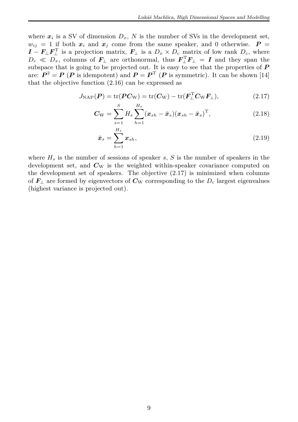where  $x_i$  is a SV of dimension  $D_x$ , N is the number of SVs in the development set,  $w_{ii} = 1$  if both  $x_i$  and  $x_j$  come from the same speaker, and 0 otherwise.  $P =$  $I - F_{\perp} F_{\perp}^{\mathrm{T}}$  is a projection matrix,  $F_{\perp}$  is a  $D_x \times D_c$  matrix of low rank  $D_c$ , where  $D_c \ll D_x$ , columns of  $\mathbf{F}_\perp$  are orthonormal, thus  $\mathbf{F}_\perp^T \mathbf{F}_\perp = \mathbf{I}$  and they span the subspace that is going to be projected out. It is easy to see that the properties of *P* are:  $P^2 = P(P \text{ is idempotent})$  and  $P = P^T(P \text{ is symmetric})$ . It can be shown [\[14\]](#page-48-14) that the objective function [\(2.16\)](#page-21-5) can be expressed as

$$
J_{\text{NAP}}(P) = \text{tr}(PC_{\text{W}}) = \text{tr}(C_{\text{W}}) - \text{tr}(F_{\perp}^{T}C_{\text{W}}F_{\perp}), \qquad (2.17)
$$

$$
C_{\rm W} = \sum_{s=1}^{S} H_s \sum_{h=1}^{H_s} (x_{sh} - \bar{x}_s)(x_{sh} - \bar{x}_s)^{\rm T}, \qquad (2.18)
$$

<span id="page-22-0"></span>
$$
\bar{x}_s = \sum_{h=1}^{H_s} x_{sh},\tag{2.19}
$$

where  $H_s$  is the number of sessions of speaker *s*, *S* is the number of speakers in the development set, and  $C_{\rm W}$  is the weighted within-speaker covariance computed on the development set of speakers. The objective [\(2.17\)](#page-22-0) is minimized when columns of  $\mathbf{F}_{\perp}$  are formed by eigenvectors of  $\mathbf{C}_{\text{W}}$  corresponding to the  $D_c$  largest eigenvalues (highest variance is projected out).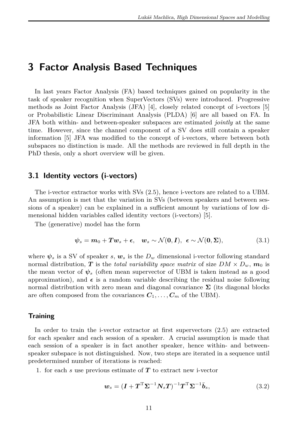## <span id="page-24-0"></span>**3 Factor Analysis Based Techniques**

In last years Factor Analysis (FA) based techniques gained on popularity in the task of speaker recognition when SuperVectors (SVs) were introduced. Progressive methods as Joint Factor Analysis (JFA) [\[4\]](#page-48-4), closely related concept of i-vectors [\[5\]](#page-48-5) or Probabilistic Linear Discriminant Analysis (PLDA) [\[6\]](#page-48-6) are all based on FA. In JFA both within- and between-speaker subspaces are estimated *jointly* at the same time. However, since the channel component of a SV does still contain a speaker information [\[5\]](#page-48-5) JFA was modified to the concept of i-vectors, where between both subspaces no distinction is made. All the methods are reviewed in full depth in the PhD thesis, only a short overview will be given.

#### <span id="page-24-1"></span>**3.1 Identity vectors (i-vectors)**

The i-vector extractor works with SVs [\(2.5\)](#page-19-2), hence i-vectors are related to a UBM. An assumption is met that the variation in SVs (between speakers and between sessions of a speaker) can be explained in a sufficient amount by variations of low dimensional hidden variables called identity vectors (i-vectors) [\[5\]](#page-48-5).

The (generative) model has the form

<span id="page-24-3"></span>
$$
\psi_s = m_0 + Tw_s + \epsilon, \quad w_s \sim \mathcal{N}(0, I), \ \epsilon \sim \mathcal{N}(0, \Sigma), \tag{3.1}
$$

where  $\psi_s$  is a SV of speaker *s*,  $w_s$  is the  $D_w$  dimensional i-vector following standard normal distribution, *T* is the *total variability space matrix* of size  $DM \times D_w$ ,  $m_0$  is the mean vector of  $\psi_s$  (often mean supervector of UBM is taken instead as a good approximation), and  $\epsilon$  is a random variable describing the residual noise following normal distribution with zero mean and diagonal covariance  $\Sigma$  (its diagonal blocks are often composed from the covariances  $C_1, \ldots, C_m$  of the UBM).

#### **Training**

In order to train the i-vector extractor at first supervectors [\(2.5\)](#page-19-2) are extracted for each speaker and each session of a speaker. A crucial assumption is made that each session of a speaker is in fact another speaker, hence within- and betweenspeaker subspace is not distinguished. Now, two steps are iterated in a sequence until predetermined number of iterations is reached:

1. for each *s* use previous estimate of *T* to extract new i-vector

<span id="page-24-2"></span>
$$
\mathbf{w}_s = (\mathbf{I} + \mathbf{T}^{\mathrm{T}} \boldsymbol{\Sigma}^{-1} \mathbf{N}_s \mathbf{T})^{-1} \mathbf{T}^{\mathrm{T}} \boldsymbol{\Sigma}^{-1} \bar{\mathbf{b}}_s, \tag{3.2}
$$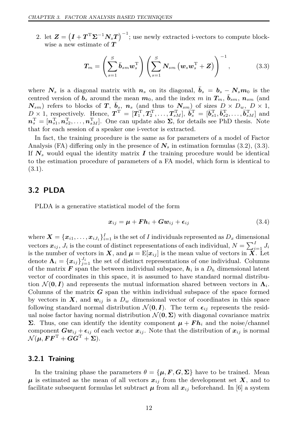2. let  $\mathbf{Z} = (\mathbf{I} + \mathbf{T}^{\mathrm{T}} \Sigma^{-1} N_s \mathbf{T})^{-1}$ ; use newly extracted i-vectors to compute blockwise a new estimate of *T*

<span id="page-25-2"></span>
$$
T_m = \left(\sum_{s=1}^{S} \bar{b}_{sm} w_s^{\mathrm{T}}\right) \left(\sum_{s=1}^{S} N_{sm} \left(w_s w_s^{\mathrm{T}} + Z\right)\right)^{-1}, \tag{3.3}
$$

where  $N_s$  is a diagonal matrix with  $n_s$  on its diagonal,  $\bar{b}_s = b_s - N_s m_0$  is the centred version of  $b_s$  around the mean  $m_0$ , and the index  $m$  in  $T_m$ ,  $\bar{b}_{sm}$ ,  $n_{sm}$  (and  $N_{sm}$ ) refers to blocks of *T*,  $\bar{b}_s$ ,  $n_s$  (and thus to  $N_{sm}$ ) of sizes  $D \times D_w$ ,  $D \times 1$ ,  $D \times 1$ , respectively. Hence,  $\boldsymbol{T}^{\mathrm{T}} = [\boldsymbol{T}_1^{\mathrm{T}}, \boldsymbol{T}_2^{\mathrm{T}}, \dots, \boldsymbol{T}_{sM}^{\mathrm{T}}]$ ,  $\vec{b}_s^{\mathrm{T}} = [\vec{b}_{s1}^{\mathrm{T}}, \vec{b}_{s2}^{\mathrm{T}}, \dots, \vec{b}_{sM}^{\mathrm{T}}]$  and  $n_s^{\rm T} = [n_{s1}^{\rm T}, n_{s2}^{\rm T}, \dots, n_{sM}^{\rm T}]$ . One can update also  $\Sigma$ , for details see PhD thesis. Note that for each session of a speaker one i-vector is extracted.

In fact, the training procedure is the same as for parameters of a model of Factor Analysis (FA) differing only in the presence of  $N_s$  in estimation formulas [\(3.2\)](#page-24-2), [\(3.3\)](#page-25-2). If  $N_s$  would equal the identity matrix  $I$  the training procedure would be identical to the estimation procedure of parameters of a FA model, which form is identical to [\(3.1\)](#page-24-3).

#### <span id="page-25-0"></span>**3.2 PLDA**

PLDA is a generative statistical model of the form

$$
x_{ij} = \mu + F h_i + G w_{ij} + \epsilon_{ij} \tag{3.4}
$$

where  $\bm{X} = \{\bm{x}_{i1}, \dots, \bm{x}_{iJ_i}\}_{i=1}^I$  is the set of *I* individuals represented as  $D_x$  dimensional vectors  $x_{ij}$ ,  $J_i$  is the count of distinct representations of each individual,  $N = \sum_{i=1}^{I} J_i$ is the number of vectors in *X*, and  $\mu = \mathbb{E}[x_{ij}]$  is the mean value of vectors in *X*. Let denote  $\Lambda_i = \{x_{ij}\}_{j=1}^{J_i}$  the set of distinct representations of one individual. Columns of the matrix  $\mathbf{F}$  span the between individual subspace,  $\mathbf{h}_i$  is a  $D_h$  dimensional latent vector of coordinates in this space, it is assumed to have standard normal distribution  $\mathcal{N}(\mathbf{0}, \mathbf{I})$  and represents the mutual information shared between vectors in  $\Lambda_i$ . Columns of the matrix *G* span the within individual subspace of the space formed by vectors in  $\mathbf{X}$ , and  $\mathbf{w}_{ij}$  is a  $D_w$  dimensional vector of coordinates in this space following standard normal distribution  $\mathcal{N}(\mathbf{0}, \mathbf{I})$ . The term  $\epsilon_{ij}$  represents the residual noise factor having normal distribution  $\mathcal{N}(\mathbf{0}, \boldsymbol{\Sigma})$  with diagonal covariance matrix **Σ**. Thus, one can identify the identity component  $\mu$  + **Fh**<sub>*i*</sub> and the noise/channel component  $Gw_{ij} + \epsilon_{ij}$  of each vector  $x_{ij}$ . Note that the distribution of  $x_{ij}$  is normal  $\mathcal{N}(\mu, \mathbf{F}\mathbf{F}^{\mathrm{T}} + \mathbf{G}\mathbf{G}^{\mathrm{T}} + \mathbf{\Sigma}).$ 

#### <span id="page-25-1"></span>**3.2.1 Training**

In the training phase the parameters  $\theta = \{ \mu, F, G, \Sigma \}$  have to be trained. Mean  $\mu$  is estimated as the mean of all vectors  $x_{ij}$  from the development set X, and to facilitate subsequent formulas let subtract  $\mu$  from all  $x_{ij}$  beforehand. In [\[6\]](#page-48-6) a system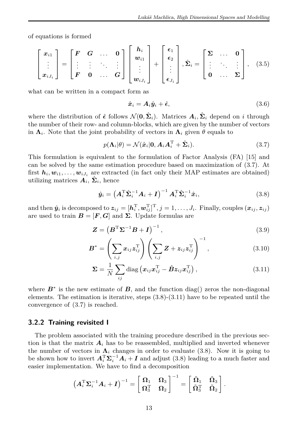of equations is formed

$$
\begin{bmatrix} x_{i1} \\ \vdots \\ x_{iJ_i} \end{bmatrix} = \begin{bmatrix} F & G & \dots & 0 \\ \vdots & \vdots & \ddots & \vdots \\ F & 0 & \dots & G \end{bmatrix} \begin{bmatrix} h_i \\ w_{i1} \\ \vdots \\ w_{iJ_i} \end{bmatrix} + \begin{bmatrix} \epsilon_1 \\ \epsilon_2 \\ \vdots \\ \epsilon_{J_i} \end{bmatrix}, \hat{\Sigma}_i = \begin{bmatrix} \Sigma & \dots & 0 \\ \vdots & \ddots & \vdots \\ 0 & \dots & \Sigma \end{bmatrix}, \quad (3.5)
$$

what can be written in a compact form as

$$
\hat{x}_i = A_i \hat{y}_i + \hat{\epsilon}, \tag{3.6}
$$

where the distribution of  $\hat{\epsilon}$  follows  $\mathcal{N}(\mathbf{0}, \hat{\Sigma}_i)$ . Matrices  $A_i, \hat{\Sigma}_i$  depend on *i* through the number of their row- and column-blocks, which are given by the number of vectors in  $\Lambda_i$ . Note that the joint probability of vectors in  $\Lambda_i$  given  $\theta$  equals to

<span id="page-26-1"></span>
$$
p(\mathbf{\Lambda}_i|\theta) = \mathcal{N}(\hat{\boldsymbol{x}}_i|\mathbf{0}, \mathbf{A}_i \mathbf{A}_i^{\mathrm{T}} + \hat{\boldsymbol{\Sigma}}_i). \tag{3.7}
$$

This formulation is equivalent to the formulation of Factor Analysis (FA) [\[15\]](#page-48-15) and can be solved by the same estimation procedure based on maximization of [\(3.7\)](#page-26-1). At first  $h_i, w_{i1}, \ldots, w_{iJ_i}$  are extracted (in fact only their MAP estimates are obtained) utilizing matrices  $A_i$ ,  $\hat{\Sigma}_i$ , hence

<span id="page-26-2"></span>
$$
\hat{\mathbf{y}}_i = \left(\mathbf{A}_i^{\mathrm{T}} \hat{\boldsymbol{\Sigma}}_i^{-1} \mathbf{A}_i + \mathbf{I}\right)^{-1} \mathbf{A}_i^{\mathrm{T}} \hat{\boldsymbol{\Sigma}}_i^{-1} \hat{\mathbf{x}}_i, \tag{3.8}
$$

and then  $\hat{y}_i$  is decomposed to  $z_{ij} = [h_i^{\mathrm{T}}, w_{ij}^{\mathrm{T}}]^{\mathrm{T}}, j = 1, \ldots, J_i$ . Finally, couples  $(x_{ij}, z_{ij})$ are used to train  $B = [F, G]$  and  $\Sigma$ . Update formulas are

<span id="page-26-4"></span>
$$
\mathbf{Z} = \left(\mathbf{B}^{\mathrm{T}}\boldsymbol{\Sigma}^{-1}\mathbf{B} + \mathbf{I}\right)^{-1},\tag{3.9}
$$

$$
\boldsymbol{B}^* = \left(\sum_{i,j} x_{ij} z_{ij}^{\mathrm{T}}\right) \left(\sum_{i,j} \boldsymbol{Z} + z_{ij} z_{ij}^{\mathrm{T}}\right)^{-1}, \qquad (3.10)
$$

<span id="page-26-3"></span>
$$
\Sigma = \frac{1}{N} \sum_{ij} \text{diag} \left( x_{ij} x_{ij}^{\mathrm{T}} - \hat{B} z_{ij} x_{ij}^{\mathrm{T}} \right), \qquad (3.11)
$$

where  $B^*$  is the new estimate of  $B$ , and the function diag() zeros the non-diagonal elements. The estimation is iterative, steps  $(3.8)-(3.11)$  $(3.8)-(3.11)$  $(3.8)-(3.11)$  have to be repeated until the convergence of [\(3.7\)](#page-26-1) is reached.

#### <span id="page-26-0"></span>**3.2.2 Training revisited I**

The problem associated with the training procedure described in the previous section is that the matrix  $A_i$  has to be reassembled, multiplied and inverted whenever the number of vectors in  $\Lambda_i$  changes in order to evaluate [\(3.8\)](#page-26-2). Now it is going to be shown how to invert  $A_i^{\mathrm{T}} \Sigma_i^{-1} A_i + I$  and adjust [\(3.8\)](#page-26-2) leading to a much faster and easier implementation. We have to find a decomposition

$$
\left(\boldsymbol{A}_i^{\rm T}\boldsymbol{\Sigma}_i^{-1}\boldsymbol{A}_i+\boldsymbol{I}\right)^{-1}=\left[\begin{array}{cc} \boldsymbol{\Omega}_1 & \boldsymbol{\Omega}_3 \\ \boldsymbol{\Omega}_3^{\rm T} & \boldsymbol{\Omega}_2 \end{array}\right]^{-1}=\left[\begin{array}{cc} \tilde{\boldsymbol{\Omega}}_1 & \tilde{\boldsymbol{\Omega}}_3 \\ \tilde{\boldsymbol{\Omega}}_3^{\rm T} & \tilde{\boldsymbol{\Omega}}_2 \end{array}\right].
$$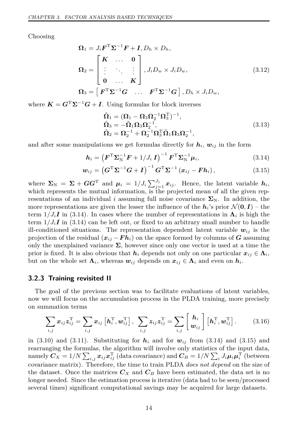Choosing

$$
\Omega_1 = J_i \mathbf{F}^{\mathrm{T}} \Sigma^{-1} \mathbf{F} + \mathbf{I}, D_h \times D_h,
$$
\n
$$
\Omega_2 = \begin{bmatrix} \mathbf{K} & \cdots & \mathbf{0} \\ \vdots & \ddots & \vdots \\ \mathbf{0} & \cdots & \mathbf{K} \end{bmatrix}, J_i D_w \times J_i D_w,
$$
\n
$$
\Omega_3 = \begin{bmatrix} \mathbf{F}^{\mathrm{T}} \Sigma^{-1} \mathbf{G} & \cdots & \mathbf{F}^{\mathrm{T}} \Sigma^{-1} \mathbf{G} \end{bmatrix}, D_h \times J_i D_w,
$$
\n(3.12)

where  $K = G^{T} \Sigma^{-1} G + I$ . Using formulas for block inverses

<span id="page-27-2"></span><span id="page-27-1"></span>
$$
\tilde{\Omega}_1 = (\Omega_1 - \Omega_3 \Omega_2^{-1} \Omega_3^T)^{-1}, \n\tilde{\Omega}_3 = -\tilde{\Omega}_1 \Omega_3 \Omega_2^{-1}, \n\tilde{\Omega}_2 = \Omega_2^{-1} + \Omega_2^{-1} \Omega_3^T \tilde{\Omega}_1 \Omega_3 \Omega_2^{-1},
$$
\n(3.13)

and after some manipulations we get formulas directly for  $h_i$ ,  $w_{ij}$  in the form

$$
\boldsymbol{h}_{i} = \left(\boldsymbol{F}^{\mathrm{T}} \boldsymbol{\Sigma}_{\mathrm{N}}^{-1} \boldsymbol{F} + 1/J_{i} \boldsymbol{I}\right)^{-1} \boldsymbol{F}^{\mathrm{T}} \boldsymbol{\Sigma}_{\mathrm{N}}^{-1} \boldsymbol{\mu}_{i}, \tag{3.14}
$$

$$
\boldsymbol{w}_{ij} = \left(\boldsymbol{G}^{\mathrm{T}}\boldsymbol{\Sigma}^{-1}\boldsymbol{G} + \boldsymbol{I}\right)^{-1}\boldsymbol{G}^{\mathrm{T}}\boldsymbol{\Sigma}^{-1}\left(\boldsymbol{x}_{ij} - \boldsymbol{F}\boldsymbol{h}_{i}\right), \tag{3.15}
$$

where  $\Sigma_N = \Sigma + GG^T$  and  $\mu_i = 1/J_i \sum_{j=1}^{J_i} x_{ij}$ . Hence, the latent variable  $h_i$ , which represents the mutual information, is the projected mean of all the given representations of an individual *i* assuming full noise covariance  $\Sigma_N$ . In addition, the more representations are given the lesser the influence of the  $h_i$ 's prior  $\mathcal{N}(\mathbf{0}, I)$  – the term  $1/J_iI$  in [\(3.14\)](#page-27-1). In cases where the number of representations in  $\Lambda_i$  is high the term  $1/J_iI$  in [\(3.14\)](#page-27-1) can be left out, or fixed to an arbitrary small number to handle ill-conditioned situations. The representation dependent latent variable  $w_{ij}$  is the projection of the residual  $(x_{ij} - F h_i)$  on the space formed by columns of *G* assuming only the unexplained variance  $\Sigma$ , however since only one vector is used at a time the prior is fixed. It is also obvious that  $h_i$  depends not only on one particular  $x_{ij} \in \Lambda_i$ , but on the whole set  $\Lambda_i$ , whereas  $w_{ij}$  depends on  $x_{ij} \in \Lambda_i$  and even on  $h_i$ .

#### <span id="page-27-0"></span>**3.2.3 Training revisited II**

The goal of the previous section was to facilitate evaluations of latent variables, now we will focus on the accumulation process in the PLDA training, more precisely on summation terms

$$
\sum_{i,j} x_{ij} z_{ij}^{\mathrm{T}} = \sum_{i,j} x_{ij} \left[ \boldsymbol{h}_i^{\mathrm{T}}, \boldsymbol{w}_{ij}^{\mathrm{T}} \right], \ \sum_{i,j} z_{ij} z_{ij}^{\mathrm{T}} = \sum_{i,j} \left[ \frac{\boldsymbol{h}_i}{\boldsymbol{w}_{ij}} \right] \left[ \boldsymbol{h}_i^{\mathrm{T}}, \boldsymbol{w}_{ij}^{\mathrm{T}} \right]. \tag{3.16}
$$

in  $(3.10)$  and  $(3.11)$ . Substituting for  $h_i$  and for  $w_{ij}$  from  $(3.14)$  and  $(3.15)$  and rearranging the formulas, the algorithm will involve only statistics of the input data,  $\max\limits_{i,j} C_X = 1/N \sum_{i,j} x_{ij} x_{ij}^{\mathrm{T}}$  (data covariance) and  $C_B = 1/N \sum_i J_i \mu_i \mu_i^{\mathrm{T}}$  (between covariance matrix). Therefore, the time to train PLDA *does not depend* on the size of the dataset. Once the matrices  $C_X$  and  $C_B$  have been estimated, the data set is no longer needed. Since the estimation process is iterative (data had to be seen/processed several times) significant computational savings may be acquired for large datasets.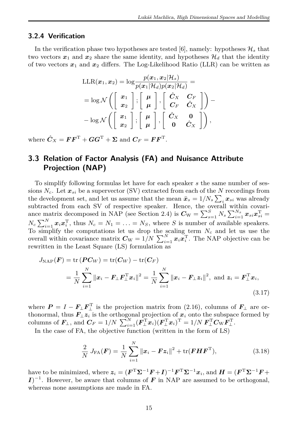#### <span id="page-28-0"></span>**3.2.4 Verification**

In the verification phase two hypotheses are tested [\[6\]](#page-48-6), namely: hypotheses  $\mathcal{H}_s$  that two vectors  $x_1$  and  $x_2$  share the same identity, and hypotheses  $\mathcal{H}_d$  that the identity of two vectors  $x_1$  and  $x_2$  differs. The Log-Likelihood Ratio (LLR) can be written as

$$
\begin{aligned}\n\text{LLR}(\boldsymbol{x}_1, \boldsymbol{x}_2) &= \log \frac{p(\boldsymbol{x}_1, \boldsymbol{x}_2 | \mathcal{H}_s)}{p(\boldsymbol{x}_1 | \mathcal{H}_d) p(\boldsymbol{x}_2 | \mathcal{H}_d)} = \\
&= \log \mathcal{N}\left( \left[\begin{array}{c} \boldsymbol{x}_1 \\ \boldsymbol{x}_2 \end{array}\right], \left[\begin{array}{c} \boldsymbol{\mu} \\ \boldsymbol{\mu} \end{array}\right], \left[\begin{array}{c} \hat{C}_X & C_F \\ C_F & \hat{C}_X \end{array}\right] \right) - \\
&- \log \mathcal{N}\left( \left[\begin{array}{c} \boldsymbol{x}_1 \\ \boldsymbol{x}_2 \end{array}\right], \left[\begin{array}{c} \boldsymbol{\mu} \\ \boldsymbol{\mu} \end{array}\right], \left[\begin{array}{cc} \hat{C}_X & \boldsymbol{0} \\ \boldsymbol{0} & \hat{C}_X \end{array}\right] \right),\n\end{aligned}
$$

where  $\hat{C}_X = \boldsymbol{F} \boldsymbol{F}^{\mathrm{T}} + \boldsymbol{G} \boldsymbol{G}^{\mathrm{T}} + \boldsymbol{\Sigma}$  and  $\boldsymbol{C}_F = \boldsymbol{F} \boldsymbol{F}^{\mathrm{T}}$ .

#### <span id="page-28-1"></span>**3.3 Relation of Factor Analysis (FA) and Nuisance Attribute Projection (NAP)**

To simplify following formulas let have for each speaker *s* the same number of sessions  $N_c$ . Let  $x_{si}$  be a supervector (SV) extracted from each of the N recordings from the development set, and let us assume that the mean  $\bar{x}_s = 1/N_s \sum_i x_{si}$  was already subtracted from each SV of respective speaker. Hence, the overall within covari-ance matrix decomposed in NAP (see Section [2.4\)](#page-21-1) is  $C_{\text{W}} = \sum_{s=1}^{S} N_s \sum_{i=1}^{N_s} x_{si} x_{si}^{\text{T}} =$  $N_c \sum_{i=1}^{N} x_i x_i^{\mathrm{T}}$ , thus  $N_c = N_1 = \ldots = N_S$ , where *S* is number of available speakers. To simplify the computations let us drop the scaling term *N<sup>c</sup>* and let us use the overall within covariance matrix  $C_{\text{W}} = 1/N \sum_{i=1}^{N} x_i x_i^{\text{T}}$ . The NAP objective can be rewritten in the Least Square (LS) formulation as

$$
J_{\text{NAP}}(\boldsymbol{F}) = \text{tr}(\boldsymbol{P}\boldsymbol{C}_{W}) = \text{tr}(\boldsymbol{C}_{W}) - \text{tr}(\boldsymbol{C}_{F})
$$
  
= 
$$
\frac{1}{N} \sum_{i=1}^{N} ||\boldsymbol{x}_{i} - \boldsymbol{F}_{\perp}\boldsymbol{F}_{\perp}^{T}\boldsymbol{x}_{i}||^{2} = \frac{1}{N} \sum_{i=1}^{N} ||\boldsymbol{x}_{i} - \boldsymbol{F}_{\perp}\boldsymbol{z}_{i}||^{2}, \text{ and } \boldsymbol{z}_{i} = \boldsymbol{F}_{\perp}^{T}\boldsymbol{x}_{i},
$$
(3.17)

where  $P = I - F_{\perp} F_{\perp}^{\mathrm{T}}$  is the projection matrix from [\(2.16\)](#page-21-5), columns of  $F_{\perp}$  are orthonormal, thus  $\overrightarrow{F_{\perp}z_i}$  is the orthogonal projection of  $x_i$  onto the subspace formed by  $\text{columns of } \mathbf{F}_{\perp}, \text{ and } \mathbf{C}_F = 1/N \sum_{i=1}^N (\mathbf{F}_{\perp}^{\mathrm{T}} \mathbf{x}_i)(\mathbf{F}_{\perp}^{\mathrm{T}} \mathbf{x}_i)^{\mathrm{T}} = 1/N \mathbf{F}_{\perp}^{\mathrm{T}} \mathbf{C}_{\mathrm{W}} \mathbf{F}_{\perp}^{\mathrm{T}}.$ 

In the case of FA, the objective function (written in the form of LS)

<span id="page-28-3"></span><span id="page-28-2"></span>
$$
\frac{2}{N} J_{\text{FA}}(\boldsymbol{F}) = \frac{1}{N} \sum_{i=1}^{N} ||\boldsymbol{x}_i - \boldsymbol{F} \boldsymbol{z}_i||^2 + \text{tr}(\boldsymbol{F} \boldsymbol{H} \boldsymbol{F}^{\text{T}}),
$$
(3.18)

have to be minimized, where  $\boldsymbol{z}_i = (\boldsymbol{F}^T \boldsymbol{\Sigma}^{-1} \boldsymbol{F} + \boldsymbol{I})^{-1} \boldsymbol{F}^T \boldsymbol{\Sigma}^{-1} \boldsymbol{x}_i$ , and  $\boldsymbol{H} = (\boldsymbol{F}^T \boldsymbol{\Sigma}^{-1} \boldsymbol{F} + \boldsymbol{I})^{-1} \boldsymbol{F}^T \boldsymbol{\Sigma}^{-1} \boldsymbol{x}_i$  $I$ <sup> $-1$ </sup>. However, be aware that columns of *F* in NAP are assumed to be orthogonal, whereas none assumptions are made in FA.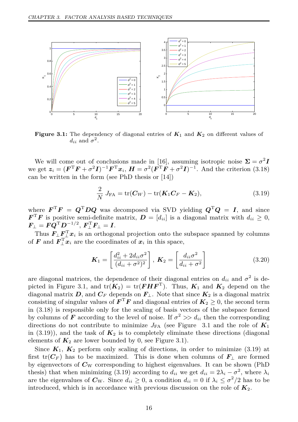<span id="page-29-0"></span>

**Figure 3.1:** The dependency of diagonal entries of  $K_1$  and  $K_2$  on different values of  $d_{ii}$  and  $\sigma^2$ .

We will come out of conclusions made in [\[16\]](#page-48-16), assuming isotropic noise  $\Sigma = \sigma^2 I$ we get  $z_i = (F^T F + \sigma^2 I)^{-1} F^T x_i$ ,  $H = \sigma^2 (F^T F + \sigma^2 I)^{-1}$ . And the criterion [\(3.18\)](#page-28-2) can be written in the form (see PhD thesis or [\[14\]](#page-48-14))

<span id="page-29-1"></span>
$$
\frac{2}{N}J_{\text{FA}} = \text{tr}(\boldsymbol{C}_{W}) - \text{tr}(\boldsymbol{K}_{1}\boldsymbol{C}_{F} - \boldsymbol{K}_{2}),
$$
\n(3.19)

where  $\boldsymbol{F}^{\mathrm{T}}\boldsymbol{F} = \boldsymbol{Q}^{\mathrm{T}}\boldsymbol{D}\boldsymbol{Q}$  was decomposed via SVD yielding  $\boldsymbol{Q}^{\mathrm{T}}\boldsymbol{Q} = \boldsymbol{I}$ , and since  $\boldsymbol{F}^{\mathrm{T}}\boldsymbol{F}$  is positive semi-definite matrix,  $\boldsymbol{D} = [d_{ii}]$  is a diagonal matrix with  $d_{ii} \geq 0$ ,  $\boldsymbol{F_{\perp}} = \boldsymbol{F} \boldsymbol{Q}^{\mathrm{T}} \boldsymbol{D}^{-1/2}, \ \boldsymbol{F_{\perp}^{\mathrm{T}} F_{\perp}} = \boldsymbol{I}.$ 

Thus  $F_{\perp}F_{\perp}^{\mathrm{T}}x_i$  is an orthogonal projection onto the subspace spanned by columns of *F* and  $\mathbf{F}_{\perp}^{\mathrm{T}} \mathbf{x}_i$  are the coordinates of  $\mathbf{x}_i$  in this space,

$$
\boldsymbol{K}_1 = \left[\frac{d_{ii}^2 + 2d_{ii}\sigma^2}{(d_{ii} + \sigma^2)^2}\right], \ \boldsymbol{K}_2 = \left[\frac{d_{ii}\sigma^2}{d_{ii} + \sigma^2}\right]
$$
(3.20)

are diagonal matrices, the dependence of their diagonal entries on  $d_{ii}$  and  $\sigma^2$  is de-picted in Figure [3.1,](#page-29-0) and  $tr(K_2) = tr(FHF^T)$ . Thus,  $K_1$  and  $K_2$  depend on the diagonal matrix *D*, and  $C_F$  depends on  $F_{\perp}$ . Note that since  $K_2$  is a diagonal matrix consisting of singular values of  $\boldsymbol{F}^{\mathrm{T}}\boldsymbol{F}$  and diagonal entries of  $K_2 \geq 0$ , the second term in [\(3.18\)](#page-28-2) is responsible only for the scaling of basis vectors of the subspace formed by columns of *F* according to the level of noise. If  $\sigma^2 \gg d_{ii}$  then the corresponding directions do not contribute to minimize  $J_{FA}$  (see Figure [3.1](#page-29-0) and the role of  $K_1$ in  $(3.19)$ ), and the task of  $K_2$  is to completely eliminate these directions (diagonal elements of  $K_2$  are lower bounded by 0, see Figure [3.1\)](#page-29-0).

Since  $K_1$ ,  $K_2$  perform only scaling of directions, in order to minimize [\(3.19\)](#page-29-1) at first  $tr(C_F)$  has to be maximized. This is done when columns of  $F_{\perp}$  are formed by eigenvectors of *C*<sup>W</sup> corresponding to highest eigenvalues. It can be shown (PhD thesis) that when minimizing [\(3.19\)](#page-29-1) according to  $d_{ii}$  we get  $d_{ii} = 2\lambda_i - \sigma^2$ , where  $\lambda_i$ are the eigenvalues of  $C_{\text{W}}$ . Since  $d_{ii} \geq 0$ , a condition  $d_{ii} = 0$  if  $\lambda_i \leq \sigma^2/2$  has to be introduced, which is in accordance with previous discussion on the role of  $K_2$ .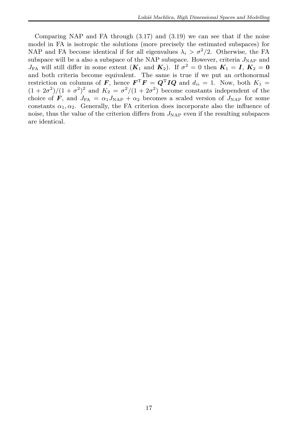Comparing NAP and FA through  $(3.17)$  and  $(3.19)$  we can see that if the noise model in FA is isotropic the solutions (more precisely the estimated subspaces) for NAP and FA become identical if for all eigenvalues  $\lambda_i > \sigma^2/2$ . Otherwise, the FA subspace will be a also a subspace of the NAP subspace. However, criteria  $J_{NAP}$  and *J*<sub>FA</sub> will still differ in some extent  $(K_1 \text{ and } K_2)$ . If  $\sigma^2 = 0$  then  $K_1 = I$ ,  $K_2 = 0$ and both criteria become equivalent. The same is true if we put an orthonormal restriction on columns of *F*, hence  $F^T F = Q^T I Q$  and  $d_{ii} = 1$ . Now, both  $K_1 =$  $(1 + 2\sigma^2)/(1 + \sigma^2)^2$  and  $K_2 = \sigma^2/(1 + 2\sigma^2)$  become constants independent of the choice of **F**, and  $J_{FA} = \alpha_1 J_{NAP} + \alpha_2$  becomes a scaled version of  $J_{NAP}$  for some constants  $\alpha_1, \alpha_2$ . Generally, the FA criterion does incorporate also the influence of noise, thus the value of the criterion differs from  $J_{NAP}$  even if the resulting subspaces are identical.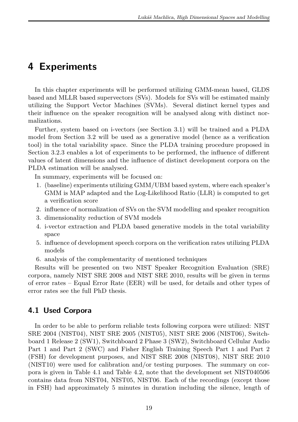## <span id="page-32-0"></span>**4 Experiments**

In this chapter experiments will be performed utilizing GMM-mean based, GLDS based and MLLR based supervectors (SVs). Models for SVs will be estimated mainly utilizing the Support Vector Machines (SVMs). Several distinct kernel types and their influence on the speaker recognition will be analysed along with distinct normalizations.

Further, system based on i-vectors (see Section [3.1\)](#page-24-1) will be trained and a PLDA model from Section [3.2](#page-25-0) will be used as a generative model (hence as a verification tool) in the total variability space. Since the PLDA training procedure proposed in Section [3.2.3](#page-27-0) enables a lot of experiments to be performed, the influence of different values of latent dimensions and the influence of distinct development corpora on the PLDA estimation will be analysed.

In summary, experiments will be focused on:

- 1. (baseline) experiments utilizing GMM/UBM based system, where each speaker's GMM is MAP adapted and the Log-Likelihood Ratio (LLR) is computed to get a verification score
- 2. influence of normalization of SVs on the SVM modelling and speaker recognition
- 3. dimensionality reduction of SVM models
- 4. i-vector extraction and PLDA based generative models in the total variability space
- 5. influence of development speech corpora on the verification rates utilizing PLDA models
- 6. analysis of the complementarity of mentioned techniques

Results will be presented on two NIST Speaker Recognition Evaluation (SRE) corpora, namely NIST SRE 2008 and NIST SRE 2010, results will be given in terms of error rates – Equal Error Rate (EER) will be used, for details and other types of error rates see the full PhD thesis.

#### <span id="page-32-1"></span>**4.1 Used Corpora**

In order to be able to perform reliable tests following corpora were utilized: NIST SRE 2004 (NIST04), NIST SRE 2005 (NIST05), NIST SRE 2006 (NIST06), Switchboard 1 Release 2 (SW1), Switchboard 2 Phase 3 (SW2), Switchboard Cellular Audio Part 1 and Part 2 (SWC) and Fisher English Training Speech Part 1 and Part 2 (FSH) for development purposes, and NIST SRE 2008 (NIST08), NIST SRE 2010 (NIST10) were used for calibration and/or testing purposes. The summary on corpora is given in Table [4.1](#page-33-2) and Table [4.2,](#page-33-3) note that the development set NIST040506 contains data from NIST04, NIST05, NIST06. Each of the recordings (except those in FSH) had approximately 5 minutes in duration including the silence, length of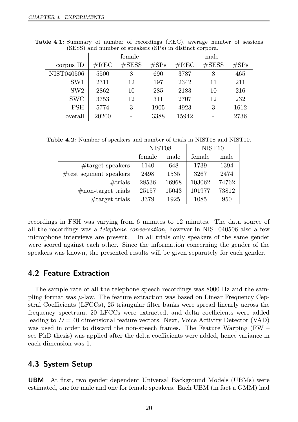|                 |                | female    |         |                | male      |                  |
|-----------------|----------------|-----------|---------|----------------|-----------|------------------|
| corpus ID       | $\#\text{REC}$ | $\#$ SESS | $\#SPs$ | $\#\text{REC}$ | $\#$ SESS | $\#\mathrm{SPs}$ |
| NIST040506      | 5500           | 8         | 690     | 3787           | 8         | 465              |
| SW <sub>1</sub> | 2311           | 12        | 197     | 2342           | 11        | 211              |
| SW2             | 2862           | 10        | 285     | 2183           | 10        | 216              |
| <b>SWC</b>      | 3753           | 12        | 311     | 2707           | 12        | 232              |
| <b>FSH</b>      | 5774           | 3         | 1905    | 4923           | 3         | 1612             |
| overall         | 20200          |           | 3388    | 15942          |           | 2736             |

<span id="page-33-2"></span>**Table 4.1:** Summary of number of recordings (REC), average number of sessions (SESS) and number of speakers (SPs) in distinct corpora.

<span id="page-33-3"></span>**Table 4.2:** Number of speakers and number of trials in NIST08 and NIST10.

|                            | NIST <sub>08</sub> |       | NIST <sub>10</sub> |       |
|----------------------------|--------------------|-------|--------------------|-------|
|                            | female             | male  | female             | male  |
| $#target$ speakers         | 1140               | 648   | 1739               | 1394  |
| $\#$ test segment speakers | 2498               | 1535  | 3267               | 2474  |
| $\#$ trials                | 28536              | 16968 | 103062             | 74762 |
| $\#$ non-target trials     | 25157              | 15043 | 101977             | 73812 |
| $#target$ trials           | 3379               | 1925  | 1085               | 950   |

recordings in FSH was varying from 6 minutes to 12 minutes. The data source of all the recordings was a *telephone conversation*, however in NIST040506 also a few microphone interviews are present. In all trials only speakers of the same gender were scored against each other. Since the information concerning the gender of the speakers was known, the presented results will be given separately for each gender.

#### <span id="page-33-0"></span>**4.2 Feature Extraction**

The sample rate of all the telephone speech recordings was 8000 Hz and the sampling format was  $\mu$ -law. The feature extraction was based on Linear Frequency Cepstral Coefficients (LFCCs), 25 triangular filter banks were spread linearly across the frequency spectrum, 20 LFCCs were extracted, and delta coefficients were added leading to  $D = 40$  dimensional feature vectors. Next, Voice Activity Detector (VAD) was used in order to discard the non-speech frames. The Feature Warping (FW – see PhD thesis) was applied after the delta coefficients were added, hence variance in each dimension was 1.

#### <span id="page-33-1"></span>**4.3 System Setup**

**UBM** At first, two gender dependent Universal Background Models (UBMs) were estimated, one for male and one for female speakers. Each UBM (in fact a GMM) had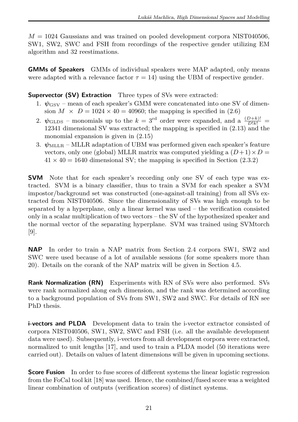$M = 1024$  Gaussians and was trained on pooled development corpora NIST040506. SW1, SW2, SWC and FSH from recordings of the respective gender utilizing EM algorithm and 32 reestimations.

**GMMs of Speakers** GMMs of individual speakers were MAP adapted, only means were adapted with a relevance factor  $\tau = 14$ ) using the UBM of respective gender.

**Supervector (SV) Extraction** Three types of SVs were extracted:

- 1.  $\psi_{\text{GSV}}$  mean of each speaker's GMM were concatenated into one SV of dimension  $M \times D = 1024 \times 40 = 40960$ ; the mapping is specified in [\(2.6\)](#page-20-4)
- 2.  $\psi$ <sub>GLDS</sub> monomials up to the  $k = 3^{rd}$  order were expanded, and a  $\frac{(D+k)!}{D!k!}$  = 12341 dimensional SV was extracted; the mapping is specified in  $(2.13)$  and the monomial expansion is given in [\(2.15\)](#page-21-3)
- 3.  $\psi_{\text{MLLR}}$  MLLR adaptation of UBM was performed given each speaker's feature vectors, only one (global) MLLR matrix was computed yielding a  $(D+1) \times D =$  $41 \times 40 = 1640$  dimensional SV; the mapping is specified in Section [\(2.3.2\)](#page-20-1)

**SVM** Note that for each speaker's recording only one SV of each type was extracted. SVM is a binary classifier, thus to train a SVM for each speaker a SVM impostor/background set was constructed (one-against-all training) from all SVs extracted from NIST040506. Since the dimensionality of SVs was high enough to be separated by a hyperplane, only a linear kernel was used – the verification consisted only in a scalar multiplication of two vectors – the SV of the hypothesized speaker and the normal vector of the separating hyperplane. SVM was trained using SVMtorch [\[9\]](#page-48-9).

**NAP** In order to train a NAP matrix from Section [2.4](#page-21-1) corpora SW1, SW2 and SWC were used because of a lot of available sessions (for some speakers more than 20). Details on the corank of the NAP matrix will be given in Section [4.5.](#page-35-1)

**Rank Normalization (RN)** Experiments with RN of SVs were also performed. SVs were rank normalized along each dimension, and the rank was determined according to a background population of SVs from SW1, SW2 and SWC. For details of RN see PhD thesis.

**i-vectors and PLDA** Development data to train the i-vector extractor consisted of corpora NIST040506, SW1, SW2, SWC and FSH (i.e. all the available development data were used). Subsequently, i-vectors from all development corpora were extracted, normalized to unit lengths [\[17\]](#page-48-17), and used to train a PLDA model (50 iterations were carried out). Details on values of latent dimensions will be given in upcoming sections.

**Score Fusion** In order to fuse scores of different systems the linear logistic regression from the FoCal tool kit [\[18\]](#page-48-18) was used. Hence, the combined/fused score was a weighted linear combination of outputs (verification scores) of distinct systems.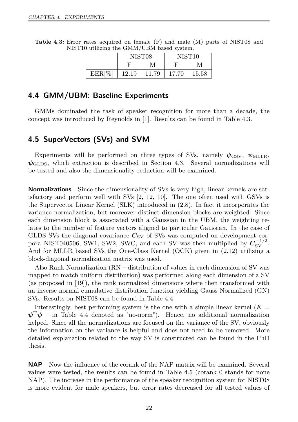<span id="page-35-2"></span>

|  | <b>Table 4.3:</b> Error rates acquired on female (F) and male (M) parts of NIST08 and |  |  |  |
|--|---------------------------------------------------------------------------------------|--|--|--|
|  | NIST10 utilizing the GMM/UBM based system.                                            |  |  |  |

|           | NIST <sub>08</sub> |       |       | NIST <sub>10</sub> |
|-----------|--------------------|-------|-------|--------------------|
|           |                    |       | R     | М                  |
| $EER[\%]$ | 12.19              | 11.79 | 17.70 | 15.58              |

#### <span id="page-35-0"></span>**4.4 GMM/UBM: Baseline Experiments**

GMMs dominated the task of speaker recognition for more than a decade, the concept was introduced by Reynolds in [\[1\]](#page-48-1). Results can be found in Table [4.3.](#page-35-2)

#### <span id="page-35-1"></span>**4.5 SuperVectors (SVs) and SVM**

Experiments will be performed on three types of SVs, namely  $\psi_{\rm GSV}$ ,  $\psi_{\rm MLLR}$ ,  $\psi_{\text{GLDS}}$ , which extraction is described in Section [4.3.](#page-33-1) Several normalizations will be tested and also the dimensionality reduction will be examined.

**Normalizations** Since the dimensionality of SVs is very high, linear kernels are satisfactory and perform well with SVs [\[2,](#page-48-2) [12,](#page-48-12) [10\]](#page-48-10). The one often used with GSVs is the Supervector Linear Kernel (SLK) introduced in [\(2.8\)](#page-20-2). In fact it incorporates the variance normalization, but moreover distinct dimension blocks are weighted. Since each dimension block is associated with a Gaussian in the UBM, the weighting relates to the number of feature vectors aligned to particular Gaussian. In the case of GLDS SVs the diagonal covariance  $C_{SV}$  of SVs was computed on development corpora NIST040506, SW1, SW2, SWC, and each SV was then multiplied by  $C_{SV}^{-1/2}$ . And for MLLR based SVs the One-Class Kernel (OCK) given in [\(2.12\)](#page-21-2) utilizing a block-diagonal normalization matrix was used.

Also Rank Normalization (RN – distribution of values in each dimension of SV was mapped to match uniform distribution) was performed along each dimension of a SV (as proposed in [\[19\]](#page-49-0)), the rank normalized dimensions where then transformed with an inverse normal cumulative distribution function yielding Gauss Normalized (GN) SVs. Results on NIST08 can be found in Table [4.4.](#page-36-0)

Interestingly, best performing system is the one with a simple linear kernel  $(K =$  $\psi^T \psi$  – in Table [4.4](#page-36-0) denoted as "no-norm"). Hence, no additional normalization helped. Since all the normalizations are focused on the variance of the SV, obviously the information on the variance is helpful and does not need to be removed. More detailed explanation related to the way SV is constructed can be found in the PhD thesis.

**NAP** Now the influence of the corank of the NAP matrix will be examined. Several values were tested, the results can be found in Table [4.5](#page-36-1) (corank 0 stands for none NAP). The increase in the performance of the speaker recognition system for NIST08 is more evident for male speakers, but error rates decreased for all tested values of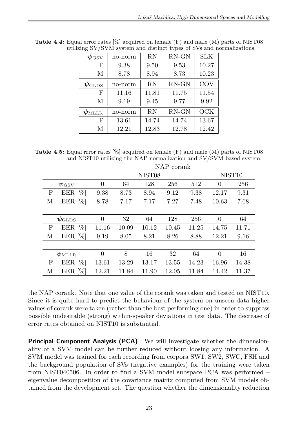| $\psi_{\rm GSV}$              | no-norm | RN    | $RN$ -GN | SLK   |
|-------------------------------|---------|-------|----------|-------|
| F                             | 9.38    | 9.50  | 9.53     | 10.27 |
| М                             | 8.78    | 8.94  | 8.73     | 10.23 |
| $\psi_{\scriptstyle\rm GLDS}$ | no-norm | RN    | $RN$ -GN | COV   |
| F                             | 11.16   | 11.81 | 11.75    | 11.54 |
| М                             | 9.19    | 9.45  | 9.77     | 9.92  |
| $\psi_{\rm MLLR}$             | no-norm | RN    | $RN$ -GN | OCK   |
| F                             | 13.61   | 14.74 | 14.74    | 13.67 |
| М                             | 12.21   | 12.83 | 12.78    | 12.42 |

<span id="page-36-0"></span>**Table 4.4:** Equal error rates [%] acquired on female (F) and male (M) parts of NIST08 utilizing SV/SVM system and distinct types of SVs and normalizations.

<span id="page-36-1"></span>**Table 4.5:** Equal rrror rates [%] acquired on female (F) and male (M) parts of NIST08 and NIST10 utilizing the NAP normalization and SV/SVM based system.

|   |                               | NAP corank     |                    |                    |       |       |          |       |  |
|---|-------------------------------|----------------|--------------------|--------------------|-------|-------|----------|-------|--|
|   |                               |                | NIST <sub>08</sub> | NIST <sub>10</sub> |       |       |          |       |  |
|   | $\psi_{\rm GSV}$              | $\overline{0}$ | 64                 | 128                | 256   | 512   | $\theta$ | 256   |  |
| F | EER <sup>[%]</sup>            | 9.38           | 8.73               | 8.94               | 9.12  | 9.38  | 12.17    | 9.31  |  |
| М | EER $[\%]$                    | 8.78           | 7.17               | 7.17               | 7.27  | 7.48  | 10.63    | 7.68  |  |
|   |                               |                |                    |                    |       |       |          |       |  |
|   | $\psi_{\scriptstyle\rm GLDS}$ | $\theta$       | 32                 | 64                 | 128   | 256   | $\Omega$ | 64    |  |
| F | EER $[\%]$                    | 11.16          | 10.09              | 10.12              | 10.45 | 11.25 | 14.75    | 11.71 |  |
| М | EER [%]                       | 9.19           | 8.05               | 8.21               | 8.26  | 8.88  | 12.21    | 9.16  |  |
|   |                               |                |                    |                    |       |       |          |       |  |
|   | $\psi_\mathrm{MLLR}$          | $\Omega$       | 8                  | 16                 | 32    | 64    | $\Omega$ | 16    |  |
| F | EER $[\%]$                    | 13.61          | 13.29              | 13.17              | 13.55 | 14.23 | 16.96    | 14.38 |  |
| М | EER [%]                       | 12.21          | 11.84              | 11.90              | 12.05 | 11.84 | 14.42    | 11.37 |  |

the NAP corank. Note that one value of the corank was taken and tested on NIST10. Since it is quite hard to predict the behaviour of the system on unseen data higher values of corank were taken (rather than the best performing one) in order to suppress possible undesirable (strong) within-speaker deviations in test data. The decrease of error rates obtained on NIST10 is substantial.

**Principal Component Analysis (PCA)** We will investigate whether the dimensionality of a SVM model can be further reduced without loosing any information. A SVM model was trained for each recording from corpora SW1, SW2, SWC, FSH and the background population of SVs (negative examples) for the training were taken from NIST040506. In order to find a SVM model subspace PCA was performed – eigenvalue decomposition of the covariance matrix computed from SVM models obtained from the development set. The question whether the dimensionality reduction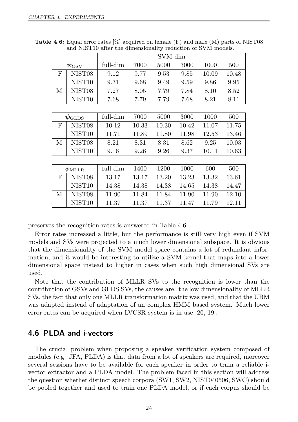|                               |                    | SVM dim  |       |       |       |       |       |
|-------------------------------|--------------------|----------|-------|-------|-------|-------|-------|
| $\psi_{\rm GSV}$              |                    | full-dim | 7000  | 5000  | 3000  | 1000  | 500   |
| F                             | NIST <sub>08</sub> | 9.12     | 9.77  | 9.53  | 9.85  | 10.09 | 10.48 |
|                               | NIST <sub>10</sub> | 9.31     | 9.68  | 9.49  | 9.59  | 9.86  | 9.95  |
| М                             | NIST08             | 7.27     | 8.05  | 7.79  | 7.84  | 8.10  | 8.52  |
|                               | NIST <sub>10</sub> | 7.68     | 7.79  | 7.79  | 7.68  | 8.21  | 8.11  |
|                               |                    |          |       |       |       |       |       |
| $\psi_{\scriptstyle\rm GLDS}$ |                    | full-dim | 7000  | 5000  | 3000  | 1000  | 500   |
| F                             | NIST08             | 10.12    | 10.33 | 10.30 | 10.42 | 11.07 | 11.75 |
|                               | NIST <sub>10</sub> | 11.71    | 11.89 | 11.80 | 11.98 | 12.53 | 13.46 |
| М                             | NIST <sub>08</sub> | 8.21     | 8.31  | 8.31  | 8.62  | 9.25  | 10.03 |
|                               | NIST <sub>10</sub> | 9.16     | 9.26  | 9.26  | 9.37  | 10.11 | 10.63 |
|                               |                    |          |       |       |       |       |       |
| $\psi_\mathrm{MLLR}$          |                    | full-dim | 1400  | 1200  | 1000  | 600   | 500   |
| F                             | NIST08             | 13.17    | 13.17 | 13.20 | 13.23 | 13.32 | 13.61 |
|                               | NIST <sub>10</sub> | 14.38    | 14.38 | 14.38 | 14.65 | 14.38 | 14.47 |
| М                             | NIST08             | 11.90    | 11.84 | 11.84 | 11.90 | 11.90 | 12.10 |
|                               | NIST10             | 11.37    | 11.37 | 11.37 | 11.47 | 11.79 | 12.11 |

<span id="page-37-1"></span>**Table 4.6:** Equal error rates [%] acquired on female (F) and male (M) parts of NIST08 and NIST10 after the dimensionality reduction of SVM models.

preserves the recognition rates is answered in Table [4.6.](#page-37-1)

Error rates increased a little, but the performance is still very high even if SVM models and SVs were projected to a much lower dimensional subspace. It is obvious that the dimensionality of the SVM model space contains a lot of redundant information, and it would be interesting to utilize a SVM kernel that maps into a lower dimensional space instead to higher in cases when such high dimensional SVs are used.

Note that the contribution of MLLR SVs to the recognition is lower than the contribution of GSVs and GLDS SVs, the causes are: the low dimensionality of MLLR SVs, the fact that only one MLLR transformation matrix was used, and that the UBM was adapted instead of adaptation of an complex HMM based system. Much lower error rates can be acquired when LVCSR system is in use [\[20,](#page-49-1) [19\]](#page-49-0).

#### <span id="page-37-0"></span>**4.6 PLDA and i-vectors**

The crucial problem when proposing a speaker verification system composed of modules (e.g. JFA, PLDA) is that data from a lot of speakers are required, moreover several sessions have to be available for each speaker in order to train a reliable ivector extractor and a PLDA model. The problem faced in this section will address the question whether distinct speech corpora (SW1, SW2, NIST040506, SWC) should be pooled together and used to train one PLDA model, or if each corpus should be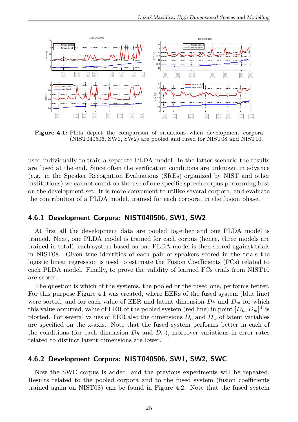<span id="page-38-2"></span>

**Figure 4.1:** Plots depict the comparison of situations when development corpora (NIST040506, SW1, SW2) are pooled and fused for NIST08 and NIST10.

used individually to train a separate PLDA model. In the latter scenario the results are fused at the end. Since often the verification conditions are unknown in advance (e.g. in the Speaker Recognition Evaluations (SREs) organized by NIST and other institutions) we cannot count on the use of one specific speech corpus performing best on the development set. It is more convenient to utilize several corpora, and evaluate the contribution of a PLDA model, trained for each corpora, in the fusion phase.

#### <span id="page-38-0"></span>**4.6.1 Development Corpora: NIST040506, SW1, SW2**

At first all the development data are pooled together and one PLDA model is trained. Next, one PLDA model is trained for each corpus (hence, three models are trained in total), each system based on one PLDA model is then scored against trials in NIST08. Given true identities of each pair of speakers scored in the trials the logistic linear regression is used to estimate the Fusion Coefficients (FCs) related to each PLDA model. Finally, to prove the validity of learned FCs trials from NIST10 are scored.

The question is which of the systems, the pooled or the fused one, performs better. For this purpose Figure [4.1](#page-38-2) was created, where EERs of the fused system (blue line) were sorted, and for each value of EER and latent dimension  $D_h$  and  $D_w$  for which this value occurred, value of EER of the pooled system (red line) in point  $[D_h, D_w]^T$  is plotted. For several values of EER also the dimensions  $D_h$  and  $D_w$  of latent variables are specified on the x-axis. Note that the fused system performs better in each of the conditions (for each dimension  $D_h$  and  $D_w$ ), moreover variations in error rates related to distinct latent dimensions are lower.

#### <span id="page-38-1"></span>**4.6.2 Development Corpora: NIST040506, SW1, SW2, SWC**

Now the SWC corpus is added, and the previous experiments will be repeated. Results related to the pooled corpora and to the fused system (fusion coefficients trained again on NIST08) can be found in Figure [4.2.](#page-39-1) Note that the fused system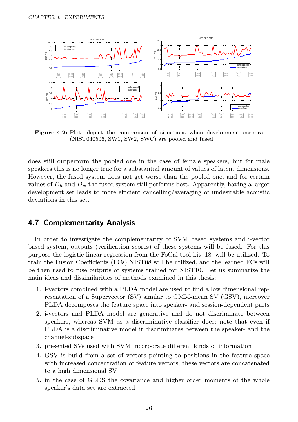<span id="page-39-1"></span>

**Figure 4.2:** Plots depict the comparison of situations when development corpora (NIST040506, SW1, SW2, SWC) are pooled and fused.

does still outperform the pooled one in the case of female speakers, but for male speakers this is no longer true for a substantial amount of values of latent dimensions. However, the fused system does not get worse than the pooled one, and for certain values of  $D_h$  and  $D_w$  the fused system still performs best. Apparently, having a larger development set leads to more efficient cancelling/averaging of undesirable acoustic deviations in this set.

#### <span id="page-39-0"></span>**4.7 Complementarity Analysis**

In order to investigate the complementarity of SVM based systems and i-vector based system, outputs (verification scores) of these systems will be fused. For this purpose the logistic linear regression from the FoCal tool kit [\[18\]](#page-48-18) will be utilized. To train the Fusion Coefficients (FCs) NIST08 will be utilized, and the learned FCs will be then used to fuse outputs of systems trained for NIST10. Let us summarize the main ideas and dissimilarities of methods examined in this thesis:

- 1. i-vectors combined with a PLDA model are used to find a low dimensional representation of a Supervector (SV) similar to GMM-mean SV (GSV), moreover PLDA decomposes the feature space into speaker- and session-dependent parts
- 2. i-vectors and PLDA model are generative and do not discriminate between speakers, whereas SVM as a discriminative classifier does; note that even if PLDA is a discriminative model it discriminates between the speaker- and the channel-subspace
- 3. presented SVs used with SVM incorporate different kinds of information
- 4. GSV is build from a set of vectors pointing to positions in the feature space with increased concentration of feature vectors; these vectors are concatenated to a high dimensional SV
- 5. in the case of GLDS the covariance and higher order moments of the whole speaker's data set are extracted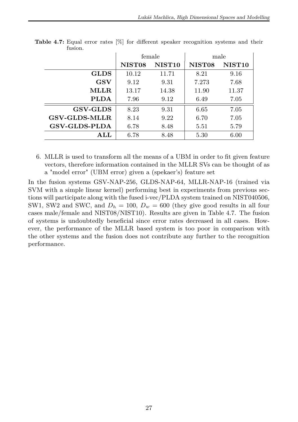|                      | female             |                    |                    | male               |
|----------------------|--------------------|--------------------|--------------------|--------------------|
|                      | NIST <sub>08</sub> | NIST <sub>10</sub> | NIST <sub>08</sub> | NIST <sub>10</sub> |
| <b>GLDS</b>          | 10.12              | 11.71              | 8.21               | 9.16               |
| GSV                  | 9.12               | 9.31               | 7.273              | 7.68               |
| <b>MLLR</b>          | 13.17              | 14.38              | 11.90              | 11.37              |
| <b>PLDA</b>          | 7.96               | 9.12               | 6.49               | 7.05               |
| <b>GSV-GLDS</b>      | 8.23               | 9.31               | 6.65               | 7.05               |
| <b>GSV-GLDS-MLLR</b> | 8.14               | 9.22               | 6.70               | 7.05               |
| <b>GSV-GLDS-PLDA</b> | 6.78               | 8.48               | 5.51               | 5.79               |
| ALI                  | 6.78               | 8.48               | 5.30               | 6.00               |

<span id="page-40-0"></span>**Table 4.7:** Equal error rates [%] for different speaker recognition systems and their fusion.

6. MLLR is used to transform all the means of a UBM in order to fit given feature vectors, therefore information contained in the MLLR SVs can be thought of as a "model error" (UBM error) given a (spekaer's) feature set

In the fusion systems GSV-NAP-256, GLDS-NAP-64, MLLR-NAP-16 (trained via SVM with a simple linear kernel) performing best in experiments from previous sections will participate along with the fused i-vec/PLDA system trained on NIST040506, SW1, SW2 and SWC, and  $D_h = 100$ ,  $D_w = 600$  (they give good results in all four cases male/female and NIST08/NIST10). Results are given in Table [4.7.](#page-40-0) The fusion of systems is undoubtedly beneficial since error rates decreased in all cases. However, the performance of the MLLR based system is too poor in comparison with the other systems and the fusion does not contribute any further to the recognition performance.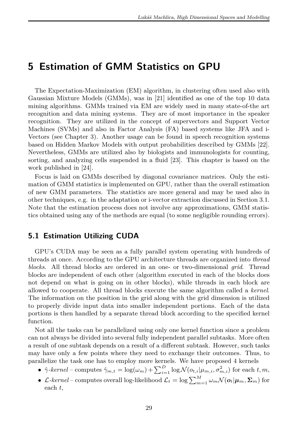## <span id="page-42-0"></span>**5 Estimation of GMM Statistics on GPU**

The Expectation-Maximization (EM) algorithm, in clustering often used also with Gaussian Mixture Models (GMMs), was in [\[21\]](#page-49-2) identified as one of the top 10 data mining algorithms. GMMs trained via EM are widely used in many state-of-the art recognition and data mining systems. They are of most importance in the speaker recognition. They are utilized in the concept of supervectors and Support Vector Machines (SVMs) and also in Factor Analysis (FA) based systems like JFA and i-Vectors (see Chapter [3\)](#page-24-0). Another usage can be found in speech recognition systems based on Hidden Markov Models with output probabilities described by GMMs [\[22\]](#page-49-3). Nevertheless, GMMs are utilized also by biologists and immunologists for counting, sorting, and analyzing cells suspended in a fluid [\[23\]](#page-49-4). This chapter is based on the work published in [\[24\]](#page-49-5).

Focus is laid on GMMs described by diagonal covariance matrices. Only the estimation of GMM statistics is implemented on GPU, rather than the overall estimation of new GMM parameters. The statistics are more general and may be used also in other techniques, e.g. in the adaptation or i-vector extraction discussed in Section [3.1.](#page-24-1) Note that the estimation process does not involve any approximations, GMM statistics obtained using any of the methods are equal (to some negligible rounding errors).

#### <span id="page-42-1"></span>**5.1 Estimation Utilizing CUDA**

GPU's CUDA may be seen as a fully parallel system operating with hundreds of threads at once. According to the GPU architecture threads are organized into *thread blocks*. All thread blocks are ordered in an one- or two-dimensional *grid*. Thread blocks are independent of each other (algorithm executed in each of the blocks does not depend on what is going on in other blocks), while threads in each block are allowed to cooperate. All thread blocks execute the same algorithm called a *kernel*. The information on the position in the grid along with the grid dimension is utilized to properly divide input data into smaller independent portions. Each of the data portions is then handled by a separate thread block according to the specified kernel function.

Not all the tasks can be parallelized using only one kernel function since a problem can not always be divided into several fully independent parallel subtasks. More often a result of one subtask depends on a result of a different subtask. However, such tasks may have only a few points where they need to exchange their outcomes. Thus, to parallelize the task one has to employ more kernels. We have proposed 4 kernels

- $\hat{\gamma}$ -kernel computes  $\hat{\gamma}_{m,t} = \log(\omega_m) + \sum_{i=1}^D \log \mathcal{N}(o_{t,i}|\mu_{m,i}, \sigma_{m,i}^2)$  for each  $t, m$ ,
- *L*-kernel computes overall log-likelihood  $\mathcal{L}_t = \log \sum_{m=1}^{M} \omega_m \mathcal{N}(o_t | \mu_m, \Sigma_m)$  for each *t*,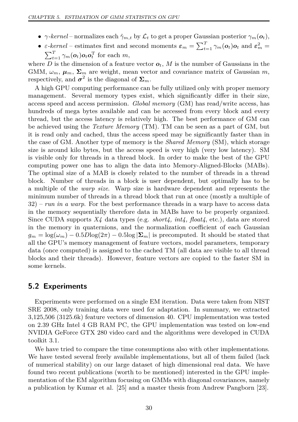- *γ*-kernel normalizes each  $\hat{\gamma}_{m,t}$  by  $\mathcal{L}_t$  to get a proper Gaussian posterior  $\gamma_m(\boldsymbol{o}_t)$ ,
- *ε*-*kernel* estimates first and second moments  $\varepsilon_m = \sum_{t=1}^T \gamma_m(o_t) o_t$  and  $\varepsilon_m^2 =$  $\sum_{t=1}^{T} \gamma_m(\boldsymbol{o}_t) \boldsymbol{o}_t \boldsymbol{o}_t^{\mathrm{T}}$  for each *m*,

where *D* is the dimension of a feature vector  $o_t$ , *M* is the number of Gaussians in the GMM,  $\omega_m$ ,  $\mu_m$ ,  $\Sigma_m$  are weight, mean vector and covariance matrix of Gaussian *m*, respectively, and  $\sigma^2$  is the diagonal of  $\Sigma_m$ .

A high GPU computing performance can be fully utilized only with proper memory management. Several memory types exist, which significantly differ in their size, access speed and access permission. *Global memory* (GM) has read/write access, has hundreds of mega bytes available and can be accessed from every block and every thread, but the access latency is relatively high. The best performance of GM can be achieved using the *Texture Memory* (TM). TM can be seen as a part of GM, but it is read only and cached, thus the access speed may be significantly faster than in the case of GM. Another type of memory is the *Shared Memory* (SM), which storage size is around kilo bytes, but the access speed is very high (very low latency). SM is visible only for threads in a thread block. In order to make the best of the GPU computing power one has to align the data into Memory-Aligned-Blocks (MABs). The optimal size of a MAB is closely related to the number of threads in a thread block. Number of threads in a block is user dependent, but optimally has to be a multiple of the *warp size*. Warp size is hardware dependent and represents the minimum number of threads in a thread block that run at once (mostly a multiple of 32) – *run in a warp*. For the best performance threads in a warp have to access data in the memory sequentially therefore data in MABs have to be properly organized. Since CUDA supports *X4* data types (e.g. *short4, int4, float4*, etc.), data are stored in the memory in quaternions, and the normalization coefficient of each Gaussian  $q_m = \log(\omega_m) - 0.5D\log(2\pi) - 0.5\log|\Sigma_m|$  is precomputed. It should be stated that all the GPU's memory management of feature vectors, model parameters, temporary data (once computed) is assigned to the cached TM (all data are visible to all thread blocks and their threads). However, feature vectors are copied to the faster SM in some kernels.

#### <span id="page-43-0"></span>**5.2 Experiments**

Experiments were performed on a single EM iteration. Data were taken from NIST SRE 2008, only training data were used for adaptation. In summary, we extracted 3,125,506 (3125.6k) feature vectors of dimension 40. CPU implementation was tested on 2.39 GHz Intel 4 GB RAM PC, the GPU implementation was tested on low-end NVIDIA GeForce GTX 280 video card and the algorithms were developed in CUDA toolkit 3.1.

We have tried to compare the time consumptions also with other implementations. We have tested several freely available implementations, but all of them failed (lack of numerical stability) on our large dataset of high dimensional real data. We have found two recent publications (worth to be mentioned) interested in the GPU implementation of the EM algorithm focusing on GMMs with diagonal covariances, namely a publication by Kumar et al. [\[25\]](#page-49-6) and a master thesis from Andrew Pangborn [\[23\]](#page-49-4).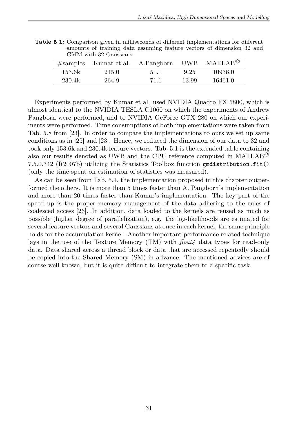|        | Givilyi with 92 Gaussians. |            |       |                                   |
|--------|----------------------------|------------|-------|-----------------------------------|
|        | $#samples$ Kumar et al.    | A.Pangborn | UWB   | $MATLAB^{\tiny{\textcircled{B}}}$ |
| 153.6k | 215.0                      | 51.1       | 9.25  | 10936.0                           |
| 230.4k | 264.9                      | 71.1       | 13.99 | 16461.0                           |

<span id="page-44-0"></span>**Table 5.1:** Comparison given in milliseconds of different implementations for different amounts of training data assuming feature vectors of dimension 32 and GMM with 32 Gaussians.

Experiments performed by Kumar et al. used NVIDIA Quadro FX 5800, which is almost identical to the NVIDIA TESLA C1060 on which the experiments of Andrew Pangborn were performed, and to NVIDIA GeForce GTX 280 on which our experiments were performed. Time consumptions of both implementations were taken from Tab. 5.8 from [\[23\]](#page-49-4). In order to compare the implementations to ours we set up same conditions as in [\[25\]](#page-49-6) and [\[23\]](#page-49-4). Hence, we reduced the dimension of our data to 32 and took only 153.6k and 230.4k feature vectors. Tab. [5.1](#page-44-0) is the extended table containing also our results denoted as UWB and the CPU reference computed in MATLAB <sup>R</sup> 7.5.0.342 (R2007b) utilizing the Statistics Toolbox function gmdistribution.fit() (only the time spent on estimation of statistics was measured).

As can be seen from Tab. [5.1,](#page-44-0) the implementation proposed in this chapter outperformed the others. It is more than 5 times faster than A. Pangborn's implementation and more than 20 times faster than Kumar's implementation. The key part of the speed up is the proper memory management of the data adhering to the rules of coalesced access [\[26\]](#page-49-7). In addition, data loaded to the kernels are reused as much as possible (higher degree of parallelization), e.g. the log-likelihoods are estimated for several feature vectors and several Gaussians at once in each kernel, the same principle holds for the accumulation kernel. Another important performance related technique lays in the use of the Texture Memory (TM) with *float4* data types for read-only data. Data shared across a thread block or data that are accessed repeatedly should be copied into the Shared Memory (SM) in advance. The mentioned advices are of course well known, but it is quite difficult to integrate them to a specific task.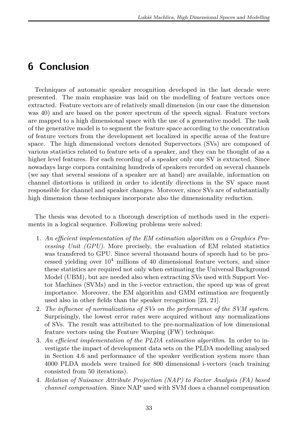## <span id="page-46-0"></span>**6 Conclusion**

Techniques of automatic speaker recognition developed in the last decade were presented. The main emphasize was laid on the modelling of feature vectors once extracted. Feature vectors are of relatively small dimension (in our case the dimension was 40) and are based on the power spectrum of the speech signal. Feature vectors are mapped to a high dimensional space with the use of a generative model. The task of the generative model is to segment the feature space according to the concentration of feature vectors from the development set localized in specific areas of the feature space. The high dimensional vectors denoted Supervectors (SVs) are composed of various statistics related to feature sets of a speaker, and they can be thought of as a higher level features. For each recording of a speaker only one SV is extracted. Since nowadays large corpora containing hundreds of speakers recorded on several channels (we say that several sessions of a speaker are at hand) are available, information on channel distortions is utilized in order to identify directions in the SV space most responsible for channel and speaker changes. Moreover, since SVs are of substantially high dimension these techniques incorporate also the dimensionality reduction.

The thesis was devoted to a thorough description of methods used in the experiments in a logical sequence. Following problems were solved:

- 1. *An efficient implementation of the EM estimation algorithm on a Graphics Processing Unit (GPU)*. More precisely, the evaluation of EM related statistics was transfered to GPU. Since several thousand hours of speech had to be processed yielding over  $10^4$  millions of 40 dimensional feature vectors, and since these statistics are required not only when estimating the Universal Background Model (UBM), but are needed also when extracting SVs used with Support Vector Machines (SVMs) and in the i-vector extraction, the speed up was of great importance. Moreover, the EM algorithm and GMM estimation are frequently used also in other fields than the speaker recognition [\[23,](#page-49-4) [21\]](#page-49-2).
- 2. *The influence of normalizations of SVs on the performance of the SVM system*. Surprisingly, the lowest error rates were acquired without any normalizations of SVs. The result was attributed to the pre-normalization of low dimensional feature vectors using the Feature Warping (FW) technique.
- 3. *An efficient implementation of the PLDA estimation algorithm*. In order to investigate the impact of development data sets on the PLDA modelling analysed in Section [4.6](#page-37-0) and performance of the speaker verification system more than 4000 PLDA models were trained for 800 dimensional i-vectors (each training consisted from 50 iterations).
- 4. *Relation of Nuisance Attribute Projection (NAP) to Factor Analysis (FA) based channel compensation*. Since NAP used with SVM does a channel compensation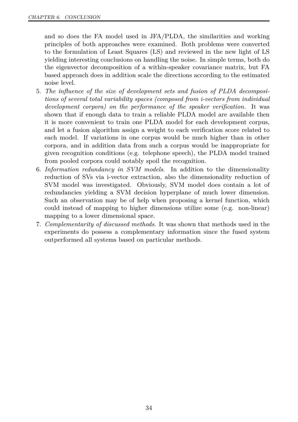and so does the FA model used in JFA/PLDA, the similarities and working principles of both approaches were examined. Both problems were converted to the formulation of Least Squares (LS) and reviewed in the new light of LS yielding interesting conclusions on handling the noise. In simple terms, both do the eigenvector decomposition of a within-speaker covariance matrix, but FA based approach does in addition scale the directions according to the estimated noise level.

- 5. *The influence of the size of development sets and fusion of PLDA decompositions of several total variability spaces (composed from i-vectors from individual development corpora) on the performance of the speaker verification.* It was shown that if enough data to train a reliable PLDA model are available then it is more convenient to train one PLDA model for each development corpus, and let a fusion algorithm assign a weight to each verification score related to each model. If variations in one corpus would be much higher than in other corpora, and in addition data from such a corpus would be inappropriate for given recognition conditions (e.g. telephone speech), the PLDA model trained from pooled corpora could notably spoil the recognition.
- 6. *Information redundancy in SVM models*. In addition to the dimensionality reduction of SVs via i-vector extraction, also the dimensionality reduction of SVM model was investigated. Obviously, SVM model does contain a lot of redundancies yielding a SVM decision hyperplane of much lower dimension. Such an observation may be of help when proposing a kernel function, which could instead of mapping to higher dimensions utilize some (e.g. non-linear) mapping to a lower dimensional space.
- 7. *Complementarity of discussed methods*. It was shown that methods used in the experiments do possess a complementary information since the fused system outperformed all systems based on particular methods.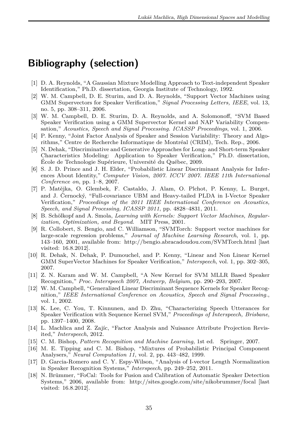## <span id="page-48-0"></span>**Bibliography (selection)**

- <span id="page-48-1"></span>[1] D. A. Reynolds, "A Gaussian Mixture Modelling Approach to Text-independent Speaker Identification," Ph.D. dissertation, Georgia Institute of Technology, 1992.
- <span id="page-48-2"></span>[2] W. M. Campbell, D. E. Sturim, and D. A. Reynolds, "Support Vector Machines using GMM Supervectors for Speaker Verification," *Signal Processing Letters, IEEE*, vol. 13, no. 5, pp. 308–311, 2006.
- <span id="page-48-3"></span>[3] W. M. Campbell, D. E. Sturim, D. A. Reynolds, and A. Solomonoff, "SVM Based Speaker Verification using a GMM Supervector Kernel and NAP Variability Compensation," *Acoustics, Speech and Signal Processing. ICASSP Proceedings*, vol. 1, 2006.
- <span id="page-48-4"></span>[4] P. Kenny, "Joint Factor Analysis of Speaker and Session Variability: Theory and Algorithms," Centre de Recherche Informatique de Montréal (CRIM), Tech. Rep., 2006.
- <span id="page-48-5"></span>[5] N. Dehak, "Discriminative and Generative Approaches for Long- and Short-term Speaker Characteristics Modeling: Application to Speaker Verification," Ph.D. dissertation, École de Technologie Supérieure, Université du Québec, 2009.
- <span id="page-48-6"></span>[6] S. J. D. Prince and J. H. Elder, "Probabilistic Linear Discriminant Analysis for Inferences About Identity," *Computer Vision, 2007. ICCV 2007. IEEE 11th International Conference on*, pp. 1–8, 2007.
- <span id="page-48-7"></span>[7] P. Matějka, O. Glembek, F. Castaldo, J. Alam, O. Plchot, P. Kenny, L. Burget, and J. Černocký, "Full-covariance UBM and Heavy-tailed PLDA in I-Vector Speaker Verification," *Proceedings of the 2011 IEEE International Conference on Acoustics, Speech, and Signal Processing, ICASSP 2011*, pp. 4828–4831, 2011.
- <span id="page-48-8"></span>[8] B. Schölkopf and A. Smola, *Learning with Kernels: Support Vector Machines, Regularization, Optimization, and Beyond*. MIT Press, 2001.
- <span id="page-48-9"></span>[9] R. Collobert, S. Bengio, and C. Williamson, "SVMTorch: Support vector machines for large-scale regression problems," *Journal of Machine Learning Research*, vol. 1, pp. 143–160, 2001, available from:<http://bengio.abracadoudou.com/SVMTorch.html> [last visited: 16.8.2012].
- <span id="page-48-10"></span>[10] R. Dehak, N. Dehak, P. Dumouchel, and P. Kenny, "Linear and Non Linear Kernel GMM SuperVector Machines for Speaker Verification," *Interspeech*, vol. 1, pp. 302–305, 2007.
- <span id="page-48-11"></span>[11] Z. N. Karam and W. M. Campbell, "A New Kernel for SVM MLLR Based Speaker Recognition," *Proc. Interspeech 2007, Antwerp, Belgium*, pp. 290–293, 2007.
- <span id="page-48-12"></span>[12] W. M. Campbell, "Generalized Linear Discriminant Sequence Kernels for Speaker Recognition," *IEEE International Conference on Acoustics, Speech and Signal Processing.*, vol. 1, 2002.
- <span id="page-48-13"></span>[13] K. Lee, C. You, T. Kinnunen, and D. Zhu, "Characterizing Speech Utterances for Speaker Verification with Sequence Kernel SVM," *Proceedings of Interspeech, Brisbane*, pp. 1397–1400, 2008.
- <span id="page-48-14"></span>[14] L. Machlica and Z. Zajíc, "Factor Analysis and Nuisance Attribute Projection Revisited," *Interspeech*, 2012.
- <span id="page-48-15"></span>[15] C. M. Bishop, *Pattern Recognition and Machine Learning*, 1st ed. Springer, 2007.
- <span id="page-48-16"></span>[16] M. E. Tipping and C. M. Bishop, "Mixtures of Probabilistic Principal Component Analysers," *Neural Computation 11*, vol. 2, pp. 443–482, 1999.
- <span id="page-48-17"></span>[17] D. Garcia-Romero and C. Y. Espy-Wilson, "Analysis of I-vector Length Normalization in Speaker Recognition Systems," *Interspeech*, pp. 249–252, 2011.
- <span id="page-48-18"></span>[18] N. Brümmer, "FoCal: Tools for Fusion and Calibration of Automatic Speaker Detection Systems," 2006, available from:<http://sites.google.com/site/nikobrummer/focal> [last visited: 16.8.2012].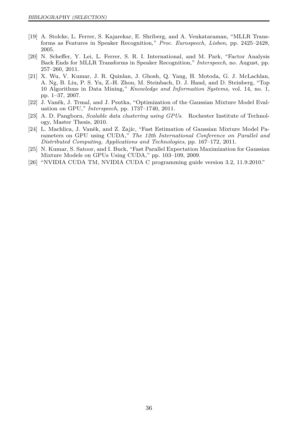- <span id="page-49-0"></span>[19] A. Stolcke, L. Ferrer, S. Kajarekar, E. Shriberg, and A. Venkataraman, "MLLR Transforms as Features in Speaker Recognition," *Proc. Eurospeech, Lisbon*, pp. 2425–2428, 2005.
- <span id="page-49-1"></span>[20] N. Scheffer, Y. Lei, L. Ferrer, S. R. I. International, and M. Park, "Factor Analysis Back Ends for MLLR Transforms in Speaker Recognition," *Interspeech*, no. August, pp. 257–260, 2011.
- <span id="page-49-2"></span>[21] X. Wu, V. Kumar, J. R. Quinlan, J. Ghosh, Q. Yang, H. Motoda, G. J. McLachlan, A. Ng, B. Liu, P. S. Yu, Z.-H. Zhou, M. Steinbach, D. J. Hand, and D. Steinberg, "Top 10 Algorithms in Data Mining," *Knowledge and Information Systems*, vol. 14, no. 1, pp. 1–37, 2007.
- <span id="page-49-3"></span>[22] J. Vaněk, J. Trmal, and J. Psutka, "Optimization of the Gaussian Mixture Model Evaluation on GPU," *Interspeech*, pp. 1737–1740, 2011.
- <span id="page-49-4"></span>[23] A. D. Pangborn, *Scalable data clustering using GPUs*. Rochester Institute of Technology, Master Thesis, 2010.
- <span id="page-49-5"></span>[24] L. Machlica, J. Vaněk, and Z. Zajíc, "Fast Estimation of Gaussian Mixture Model Parameters on GPU using CUDA," *The 12th International Conference on Parallel and Distributed Computing, Applications and Technologies*, pp. 167–172, 2011.
- <span id="page-49-6"></span>[25] N. Kumar, S. Satoor, and I. Buck, "Fast Parallel Expectation Maximization for Gaussian Mixture Models on GPUs Using CUDA," pp. 103–109, 2009.
- <span id="page-49-7"></span>[26] "NVIDIA CUDA TM, NVIDIA CUDA C programming guide version 3.2, 11.9.2010."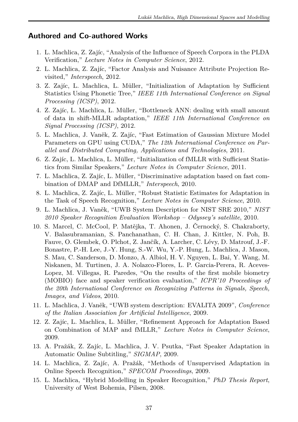#### <span id="page-50-0"></span>**Authored and Co-authored Works**

- 1. L. Machlica, Z. Zajíc, "Analysis of the Influence of Speech Corpora in the PLDA Verification," *Lecture Notes in Computer Science*, 2012.
- 2. L. Machlica, Z. Zajíc, "Factor Analysis and Nuisance Attribute Projection Revisited," *Interspeech*, 2012.
- 3. Z. Zajíc, L. Machlica, L. Müller, "Initialization of Adaptation by Sufficient Statistics Using Phonetic Tree," *IEEE 11th International Conference on Signal Processing (ICSP)*, 2012.
- 4. Z. Zajíc, L. Machlica, L. Müller, "Bottleneck ANN: dealing with small amount of data in shift-MLLR adaptation," *IEEE 11th International Conference on Signal Processing (ICSP)*, 2012.
- 5. L. Machlica, J. Vaněk, Z. Zajíc, "Fast Estimation of Gaussian Mixture Model Parameters on GPU using CUDA," *The 12th International Conference on Parallel and Distributed Computing, Applications and Technologies*, 2011.
- 6. Z. Zajíc, L. Machlica, L. Müller, "Initialization of fMLLR with Sufficient Statistics from Similar Speakers," *Lecture Notes in Computer Science*, 2011.
- 7. L. Machlica, Z. Zajíc, L. Müller, "Discriminative adaptation based on fast combination of DMAP and DfMLLR," *Interspeech*, 2010.
- 8. L. Machlica, Z. Zajíc, L. Müller, "Robust Statistic Estimates for Adaptation in the Task of Speech Recognition," *Lecture Notes in Computer Science*, 2010.
- 9. L. Machlica, J. Vaněk, "UWB System Description for NIST SRE 2010," *NIST 2010 Speaker Recognition Evaluation Workshop – Odyssey's satellite*, 2010.
- 10. S. Marcel, C. McCool, P. Matějka, T. Ahonen, J. Černocký, S. Chakraborty, V. Balasubramanian, S. Panchanathan, C. H. Chan, J. Kittler, N. Poh, B. Fauve, O. Glembek, O. Plchot, Z. Jančík, A. Larcher, C. Lévy, D. Matrouf, J.-F. Bonastre, P.-H. Lee, J.-Y. Hung, S.-W. Wu, Y.-P. Hung, L. Machlica, J. Mason, S. Mau, C. Sanderson, D. Monzo, A. Albiol, H. V. Nguyen, L. Bai, Y. Wang, M. Niskanen, M. Turtinen, J. A. Nolazco-Flores, L. P. Garcia-Perera, R. Aceves-Lopez, M. Villegas, R. Paredes, "On the results of the first mobile biometry (MOBIO) face and speaker verification evaluation," *ICPR'10 Proceedings of the 20th International Conference on Recognizing Patterns in Signals, Speech, Images, and Videos*, 2010.
- 11. L. Machlica, J. Vaněk, "UWB system description: EVALITA 2009", *Conference of the Italian Association for Artificial Intelligence*, 2009.
- 12. Z. Zajíc, L. Machlica, L. Müller, "Refinement Approach for Adaptation Based on Combination of MAP and fMLLR," *Lecture Notes in Computer Science*, 2009.
- 13. A. Pražák, Z. Zajíc, L. Machlica, J. V. Psutka, "Fast Speaker Adaptation in Automatic Online Subtitling," *SIGMAP*, 2009.
- 14. L. Machlica, Z. Zajíc, A. Pražák, "Methods of Unsupervised Adaptation in Online Speech Recognition," *SPECOM Proceedings*, 2009.
- 15. L. Machlica, "Hybrid Modelling in Speaker Recognition," *PhD Thesis Report*, University of West Bohemia, Pilsen, 2008.